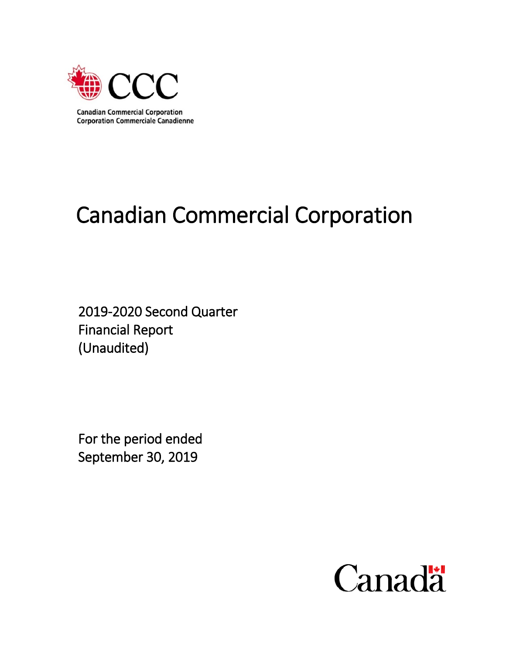

# Canadian Commercial Corporation

2019-2020 Second Quarter Financial Report (Unaudited)

For the period ended September 30, 2019

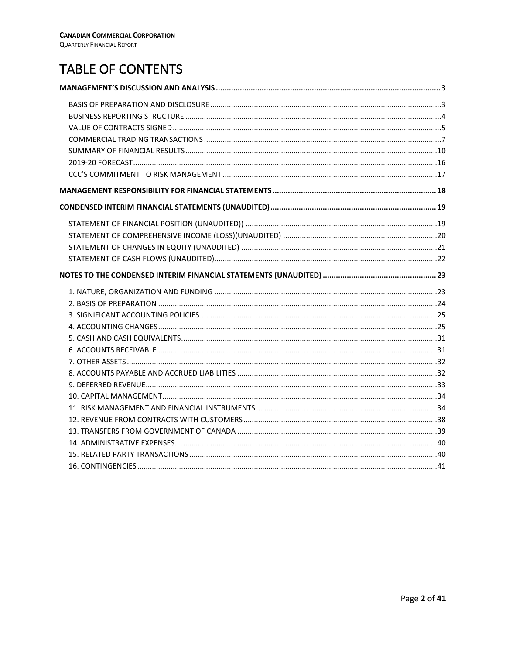# TABLE OF CONTENTS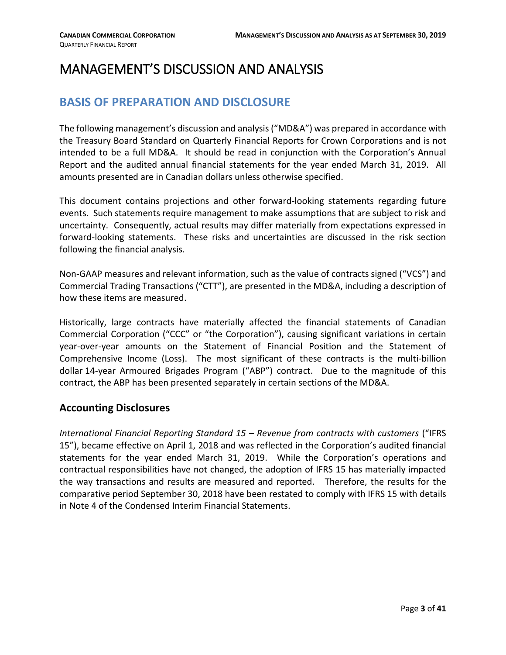# <span id="page-2-1"></span><span id="page-2-0"></span>MANAGEMENT'S DISCUSSION AND ANALYSIS

# **BASIS OF PREPARATION AND DISCLOSURE**

The following management's discussion and analysis ("MD&A") was prepared in accordance with the Treasury Board Standard on Quarterly Financial Reports for Crown Corporations and is not intended to be a full MD&A. It should be read in conjunction with the Corporation's Annual Report and the audited annual financial statements for the year ended March 31, 2019. All amounts presented are in Canadian dollars unless otherwise specified.

This document contains projections and other forward-looking statements regarding future events. Such statements require management to make assumptions that are subject to risk and uncertainty. Consequently, actual results may differ materially from expectations expressed in forward-looking statements. These risks and uncertainties are discussed in the risk section following the financial analysis.

Non-GAAP measures and relevant information, such as the value of contracts signed ("VCS") and Commercial Trading Transactions ("CTT"), are presented in the MD&A, including a description of how these items are measured.

Historically, large contracts have materially affected the financial statements of Canadian Commercial Corporation ("CCC" or "the Corporation"), causing significant variations in certain year-over-year amounts on the Statement of Financial Position and the Statement of Comprehensive Income (Loss). The most significant of these contracts is the multi-billion dollar 14-year Armoured Brigades Program ("ABP") contract. Due to the magnitude of this contract, the ABP has been presented separately in certain sections of the MD&A.

#### **Accounting Disclosures**

*International Financial Reporting Standard 15 – Revenue from contracts with customers* ("IFRS 15"), became effective on April 1, 2018 and was reflected in the Corporation's audited financial statements for the year ended March 31, 2019. While the Corporation's operations and contractual responsibilities have not changed, the adoption of IFRS 15 has materially impacted the way transactions and results are measured and reported. Therefore, the results for the comparative period September 30, 2018 have been restated to comply with IFRS 15 with details in Note 4 of the Condensed Interim Financial Statements.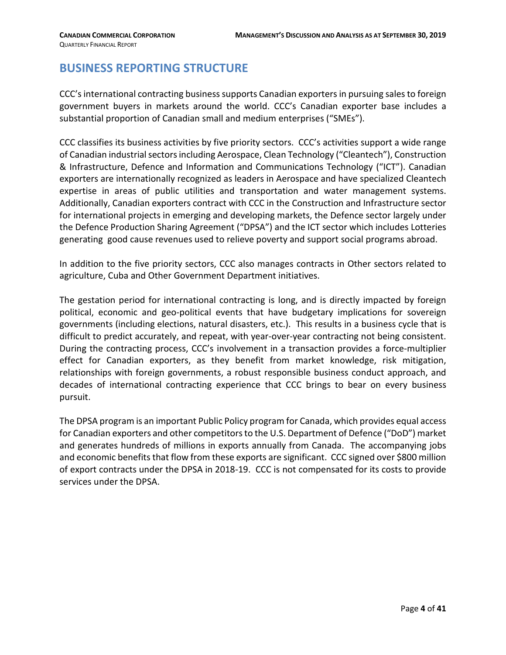# <span id="page-3-0"></span>**BUSINESS REPORTING STRUCTURE**

CCC's international contracting business supports Canadian exporters in pursuing sales to foreign government buyers in markets around the world. CCC's Canadian exporter base includes a substantial proportion of Canadian small and medium enterprises ("SMEs").

CCC classifies its business activities by five priority sectors. CCC's activities support a wide range of Canadian industrial sectors including Aerospace, Clean Technology ("Cleantech"), Construction & Infrastructure, Defence and Information and Communications Technology ("ICT"). Canadian exporters are internationally recognized as leaders in Aerospace and have specialized Cleantech expertise in areas of public utilities and transportation and water management systems. Additionally, Canadian exporters contract with CCC in the Construction and Infrastructure sector for international projects in emerging and developing markets, the Defence sector largely under the Defence Production Sharing Agreement ("DPSA") and the ICT sector which includes Lotteries generating good cause revenues used to relieve poverty and support social programs abroad.

In addition to the five priority sectors, CCC also manages contracts in Other sectors related to agriculture, Cuba and Other Government Department initiatives.

The gestation period for international contracting is long, and is directly impacted by foreign political, economic and geo-political events that have budgetary implications for sovereign governments (including elections, natural disasters, etc.). This results in a business cycle that is difficult to predict accurately, and repeat, with year-over-year contracting not being consistent. During the contracting process, CCC's involvement in a transaction provides a force-multiplier effect for Canadian exporters, as they benefit from market knowledge, risk mitigation, relationships with foreign governments, a robust responsible business conduct approach, and decades of international contracting experience that CCC brings to bear on every business pursuit.

The DPSA program is an important Public Policy program for Canada, which provides equal access for Canadian exporters and other competitorsto the U.S. Department of Defence ("DoD") market and generates hundreds of millions in exports annually from Canada. The accompanying jobs and economic benefits that flow from these exports are significant. CCC signed over \$800 million of export contracts under the DPSA in 2018-19. CCC is not compensated for its costs to provide services under the DPSA.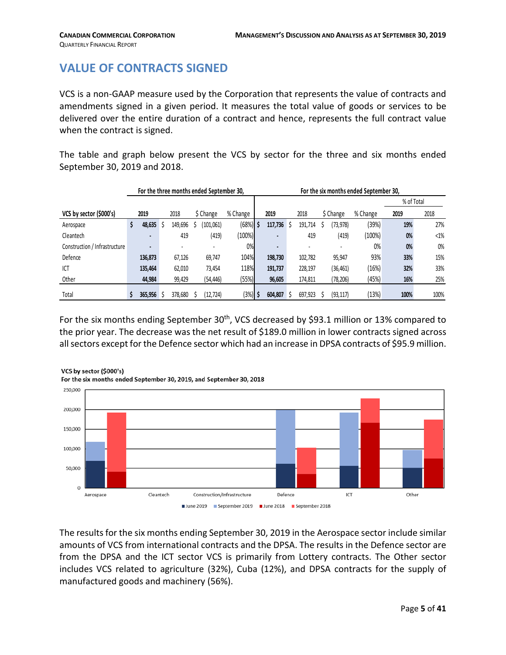# <span id="page-4-0"></span>**VALUE OF CONTRACTS SIGNED**

VCS is a non-GAAP measure used by the Corporation that represents the value of contracts and amendments signed in a given period. It measures the total value of goods or services to be delivered over the entire duration of a contract and hence, represents the full contract value when the contract is signed.

The table and graph below present the VCS by sector for the three and six months ended September 30, 2019 and 2018.

|                               |                          |         | For the three months ended September 30, |            |                          |   |         |           | For the six months ended September 30, |            |        |
|-------------------------------|--------------------------|---------|------------------------------------------|------------|--------------------------|---|---------|-----------|----------------------------------------|------------|--------|
|                               |                          |         |                                          |            |                          |   |         |           |                                        | % of Total |        |
| VCS by sector (\$000's)       | 2019                     | 2018    | \$ Change                                | % Change   | 2019                     |   | 2018    | \$ Change | % Change                               | 2019       | 2018   |
| Aerospace                     | \$<br>48,635             | 149,696 | (101, 061)                               | $(68%)$ \$ | 117,736                  | S | 191,714 | (73,978)  | (39%)                                  | 19%        | 27%    |
| Cleantech                     |                          | 419     | (419)                                    | (100%)     | $\blacksquare$           |   | 419     | (419)     | (100%)                                 | 0%         | $<1\%$ |
| Construction / Infrastructure | $\overline{\phantom{a}}$ |         |                                          | 0%         | $\overline{\phantom{0}}$ |   |         |           | 0%                                     | 0%         | 0%     |
| Defence                       | 136,873                  | 67,126  | 69,747                                   | 104%       | 198,730                  |   | 102,782 | 95,947    | 93%                                    | 33%        | 15%    |
| ICT                           | 135,464                  | 62,010  | 73,454                                   | 118%       | 191,737                  |   | 228,197 | (36, 461) | (16%)                                  | 32%        | 33%    |
| Other                         | 44,984                   | 99,429  | (54, 446)                                | (55%)      | 96,605                   |   | 174,811 | (78,206)  | (45%)                                  | 16%        | 25%    |
| Total                         | 365.956                  | 378,680 | (12, 724)                                | $3\%$      | 604.807                  |   | 697.923 | (93, 117) | (13%)                                  | 100%       | 100%   |

For the six months ending September 30<sup>th</sup>, VCS decreased by \$93.1 million or 13% compared to the prior year. The decrease was the net result of \$189.0 million in lower contracts signed across all sectors except for the Defence sector which had an increase in DPSA contracts of \$95.9 million.



The results for the six months ending September 30, 2019 in the Aerospace sector include similar amounts of VCS from international contracts and the DPSA. The results in the Defence sector are from the DPSA and the ICT sector VCS is primarily from Lottery contracts. The Other sector includes VCS related to agriculture (32%), Cuba (12%), and DPSA contracts for the supply of manufactured goods and machinery (56%).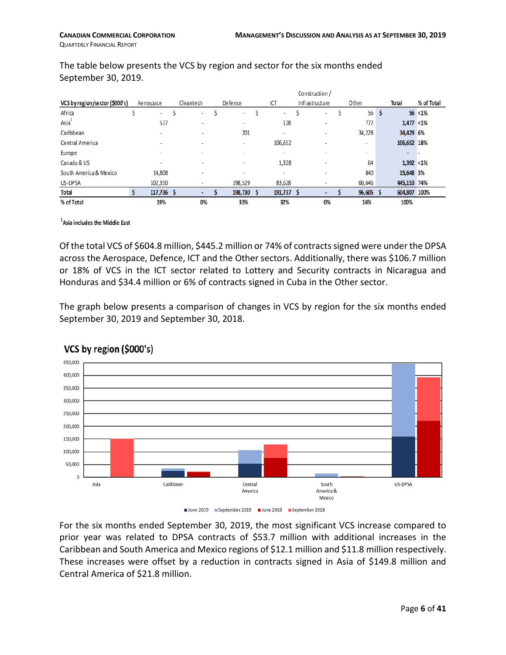$\mathbf{a}$ 

|                                |                          |                          |                          |                          | Construction /           |                          |   |                 |            |
|--------------------------------|--------------------------|--------------------------|--------------------------|--------------------------|--------------------------|--------------------------|---|-----------------|------------|
| VCS by region/sector (\$000's) | Aerospace                | Cleantech                | Defence                  | ICT                      | Infrastructure           | Other                    |   | Total           | % of Total |
| Africa                         | $\overline{\phantom{a}}$ | $\overline{\phantom{a}}$ | ۰                        | ۰                        | $\overline{\phantom{a}}$ | 56                       | s |                 | $56$ < 1%  |
| Asia                           | 577                      | -                        | ٠                        | 128                      | ٠                        | 772                      |   | $1,477 < 1\%$   |            |
| Caribbean                      | $\overline{\phantom{a}}$ | $\overline{\phantom{a}}$ | 201                      | ٠                        | ٠                        | 34,228                   |   | 34,429 6%       |            |
| Central America                |                          |                          | ۰                        | 106,652                  | ۰                        | ۰                        |   | 106,652 18%     |            |
| Europe                         | $\overline{\phantom{a}}$ | $\overline{\phantom{a}}$ | $\overline{\phantom{a}}$ | $\overline{\phantom{a}}$ | ۰                        | $\overline{\phantom{a}}$ |   | ۰               |            |
| Canada & US                    | $\overline{\phantom{a}}$ | $\overline{\phantom{a}}$ | $\overline{\phantom{a}}$ | 1,328                    | $\overline{\phantom{a}}$ | 64                       |   | $1,392$ < $1\%$ |            |
| South America & Mexico         | 14,808                   | $\overline{\phantom{a}}$ | $\overline{\phantom{a}}$ | ۰                        | $\overline{\phantom{a}}$ | 840                      |   | 15,648 3%       |            |
| US-DPSA                        | 102,350                  | $\overline{\phantom{a}}$ | 198,529                  | 83.628                   | ٠                        | 60,646                   |   | 445,153 74%     |            |
| Total                          | 117,736 \$               |                          | 198,730                  | $191,737$ \$             |                          | $96,605$ \$              |   | 604,807 100%    |            |
| % of Total                     | 19%                      | 0%                       | 33%                      | 32%                      | 0%                       | 16%                      |   | 100%            |            |

The table below presents the VCS by region and sector for the six months ended September 30, 2019.

<sup>1</sup>Asia includes the Middle East

Of the total VCS of \$604.8 million, \$445.2 million or 74% of contractssigned were under the DPSA across the Aerospace, Defence, ICT and the Other sectors. Additionally, there was \$106.7 million or 18% of VCS in the ICT sector related to Lottery and Security contracts in Nicaragua and Honduras and \$34.4 million or 6% of contracts signed in Cuba in the Other sector.

The graph below presents a comparison of changes in VCS by region for the six months ended September 30, 2019 and September 30, 2018.



### VCS by region (\$000's)

June 2019 September 2019 June 2018 September 2018

For the six months ended September 30, 2019, the most significant VCS increase compared to prior year was related to DPSA contracts of \$53.7 million with additional increases in the Caribbean and South America and Mexico regions of \$12.1 million and \$11.8 million respectively. These increases were offset by a reduction in contracts signed in Asia of \$149.8 million and Central America of \$21.8 million.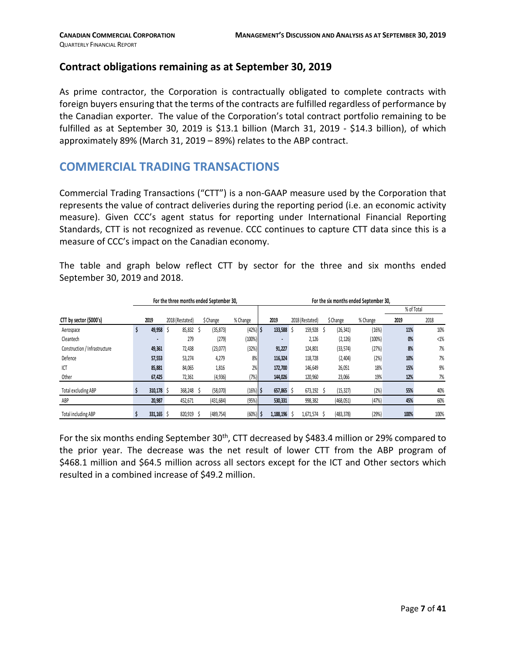#### **Contract obligations remaining as at September 30, 2019**

As prime contractor, the Corporation is contractually obligated to complete contracts with foreign buyers ensuring that the terms of the contracts are fulfilled regardless of performance by the Canadian exporter. The value of the Corporation's total contract portfolio remaining to be fulfilled as at September 30, 2019 is \$13.1 billion (March 31, 2019 - \$14.3 billion), of which approximately 89% (March 31, 2019 – 89%) relates to the ABP contract.

# <span id="page-6-0"></span>**COMMERCIAL TRADING TRANSACTIONS**

Commercial Trading Transactions ("CTT") is a non-GAAP measure used by the Corporation that represents the value of contract deliveries during the reporting period (i.e. an economic activity measure). Given CCC's agent status for reporting under International Financial Reporting Standards, CTT is not recognized as revenue. CCC continues to capture CTT data since this is a measure of CCC's impact on the Canadian economy.

The table and graph below reflect CTT by sector for the three and six months ended September 30, 2019 and 2018.

|                               |            | For the three months ended September 30. |            |            |            |                 |   |            | For the six months ended September 30. |            |        |
|-------------------------------|------------|------------------------------------------|------------|------------|------------|-----------------|---|------------|----------------------------------------|------------|--------|
|                               |            |                                          |            |            |            |                 |   |            |                                        | % of Total |        |
| CTT by sector (\$000's)       | 2019       | 2018 (Restated)                          | \$ Change  | % Change   | 2019       | 2018 (Restated) |   | \$ Change  | % Change                               | 2019       | 2018   |
| Aerospace                     | 49,958     | 85,832                                   | (35, 873)  | $(42%)$ \$ | 133,588    | 159,928         | S | (26, 341)  | (16%)                                  | 11%        | 10%    |
| Cleantech                     |            | 279                                      | (279)      | (100%)     |            | 2,126           |   | (2, 126)   | (100%)                                 | 0%         | $<1\%$ |
| Construction / Infrastructure | 49,361     | 72,438                                   | (23,077)   | (32%)      | 91,227     | 124,801         |   | (33, 574)  | (27%)                                  | 8%         | 7%     |
| Defence                       | 57,553     | 53,274                                   | 4,279      | 8%         | 116,324    | 118,728         |   | (2,404)    | (2% )                                  | 10%        | 7%     |
| ICT                           | 85,881     | 84,065                                   | 1,816      | 2%         | 172,700    | 146,649         |   | 26,051     | 18%                                    | 15%        | 9%     |
| Other                         | 67,425     | 72,361                                   | (4, 936)   | (7%)       | 144,026    | 120,960         |   | 23,066     | 19%                                    | 12%        | 7%     |
| <b>Total excluding ABP</b>    | 310,178 \$ | 368,248                                  | (58,070)   | $(16%)$ \$ | 657,865 \$ | 673,192         |   | (15, 327)  | (2% )                                  | 55%        | 40%    |
| ABP                           | 20,987     | 452,671                                  | (431, 684) | (95%)      | 530,331    | 998,382         |   | (468, 051) | (47%)                                  | 45%        | 60%    |
| <b>Total including ABP</b>    | 331,165    | 820,919                                  | (489, 754) | (60%)      | 1,188,196  | 1.671.574       |   | (483, 378) | (29%)                                  | 100%       | 100%   |

For the six months ending September 30<sup>th</sup>, CTT decreased by \$483.4 million or 29% compared to the prior year. The decrease was the net result of lower CTT from the ABP program of \$468.1 million and \$64.5 million across all sectors except for the ICT and Other sectors which resulted in a combined increase of \$49.2 million.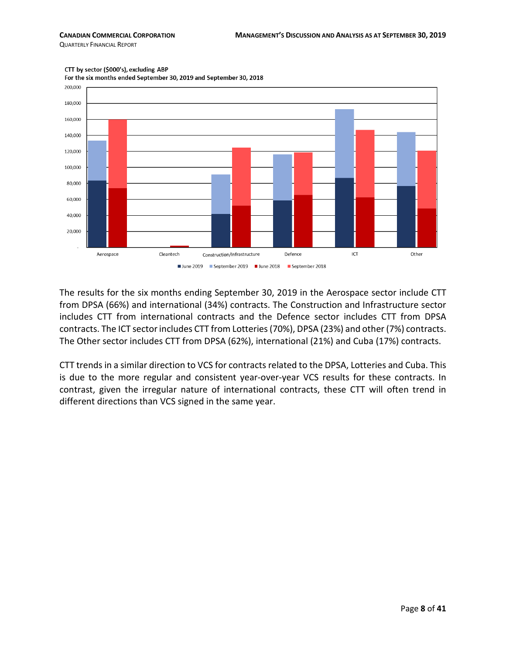QUARTERLY FINANCIAL REPORT



CTT by sector (\$000's), excluding ABP

For the six months ended September 30, 2019 and September 30, 2018

The results for the six months ending September 30, 2019 in the Aerospace sector include CTT from DPSA (66%) and international (34%) contracts. The Construction and Infrastructure sector includes CTT from international contracts and the Defence sector includes CTT from DPSA contracts. The ICT sector includes CTT from Lotteries(70%), DPSA (23%) and other (7%) contracts. The Other sector includes CTT from DPSA (62%), international (21%) and Cuba (17%) contracts.

CTT trends in a similar direction to VCS for contracts related to the DPSA, Lotteries and Cuba. This is due to the more regular and consistent year-over-year VCS results for these contracts. In contrast, given the irregular nature of international contracts, these CTT will often trend in different directions than VCS signed in the same year.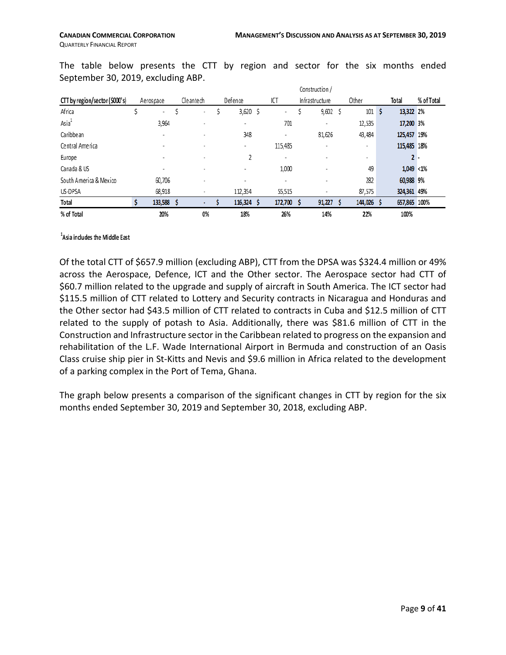|                                |                          |                          |            |                          | Construction /           |         |   |              |            |
|--------------------------------|--------------------------|--------------------------|------------|--------------------------|--------------------------|---------|---|--------------|------------|
| CTT by region/sector (\$000's) | Aerospace                | Cleantech                | Defence    | ICT                      | Infrastructure           | Other   |   | Total        | % of Total |
| Africa                         | $\overline{\phantom{a}}$ | $\overline{\phantom{a}}$ | 3,620 \$   | $\overline{\phantom{a}}$ | $9,602$ \$               | 101     | s | 13,322 2%    |            |
| $\text{Asia}^1$                | 3,964                    |                          | ٠          | 701                      | ٠                        | 12,535  |   | 17,200 3%    |            |
| Caribbean                      | ٠                        |                          | 348        |                          | 81,626                   | 43,484  |   | 125,457 19%  |            |
| Central America                | ٠                        |                          | ۰          | 115,485                  | $\overline{\phantom{a}}$ | ٠       |   | 115,485 18%  |            |
| Europe                         |                          |                          |            | ٠                        |                          | $\sim$  |   |              |            |
| Canada & US                    |                          |                          | ۰          | 1,000                    | $\overline{\phantom{a}}$ | 49      |   | $1,049$ < 1% |            |
| South America & Mexico         | 60,706                   |                          |            |                          | $\overline{\phantom{a}}$ | 282     |   | 60,988 9%    |            |
| US-DPSA                        | 68,918                   |                          | 112,354    | 55,515                   |                          | 87,575  |   | 324,361 49%  |            |
| Total                          | 133,588 \$               |                          | 116,324 \$ | 172,700                  | 91,227                   | 144,026 |   | 657,865 100% |            |
| % of Total                     | 20%                      | 0%                       | 18%        | 26%                      | 14%                      | 22%     |   | 100%         |            |

The table below presents the CTT by region and sector for the six months ended September 30, 2019, excluding ABP.

#### <sup>1</sup>Asia indudes the Middle East

Of the total CTT of \$657.9 million (excluding ABP), CTT from the DPSA was \$324.4 million or 49% across the Aerospace, Defence, ICT and the Other sector. The Aerospace sector had CTT of \$60.7 million related to the upgrade and supply of aircraft in South America. The ICT sector had \$115.5 million of CTT related to Lottery and Security contracts in Nicaragua and Honduras and the Other sector had \$43.5 million of CTT related to contracts in Cuba and \$12.5 million of CTT related to the supply of potash to Asia. Additionally, there was \$81.6 million of CTT in the Construction and Infrastructure sector in the Caribbean related to progress on the expansion and rehabilitation of the L.F. Wade International Airport in Bermuda and construction of an Oasis Class cruise ship pier in St-Kitts and Nevis and \$9.6 million in Africa related to the development of a parking complex in the Port of Tema, Ghana.

The graph below presents a comparison of the significant changes in CTT by region for the six months ended September 30, 2019 and September 30, 2018, excluding ABP.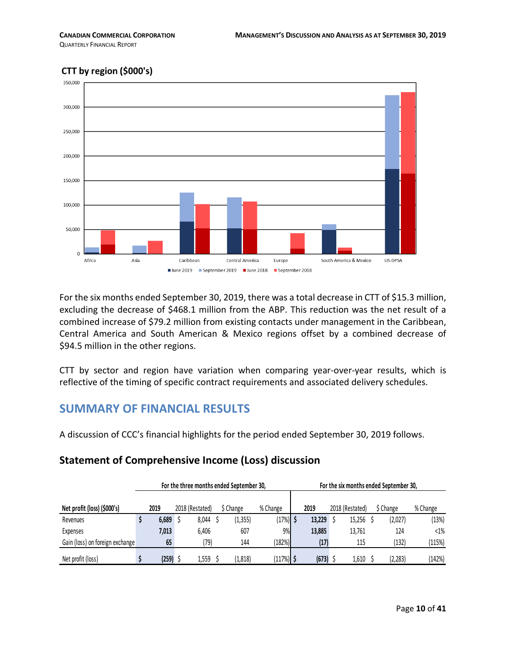QUARTERLY FINANCIAL REPORT



For the six months ended September 30, 2019, there was a total decrease in CTT of \$15.3 million, excluding the decrease of \$468.1 million from the ABP. This reduction was the net result of a combined increase of \$79.2 million from existing contacts under management in the Caribbean, Central America and South American & Mexico regions offset by a combined decrease of \$94.5 million in the other regions.

CTT by sector and region have variation when comparing year-over-year results, which is reflective of the timing of specific contract requirements and associated delivery schedules.

# <span id="page-9-0"></span>**SUMMARY OF FINANCIAL RESULTS**

A discussion of CCC's financial highlights for the period ended September 30, 2019 follows.

# **Statement of Comprehensive Income (Loss) discussion**

|                                 |       | For the three months ended September 30, |           |             |        |                 | For the six months ended September 30. |          |
|---------------------------------|-------|------------------------------------------|-----------|-------------|--------|-----------------|----------------------------------------|----------|
| Net profit (loss) (\$000's)     | 2019  | 2018 (Restated)                          | \$ Change | % Change    | 2019   | 2018 (Restated) | \$ Change                              | % Change |
| Revenues                        | 6,689 | 8.044                                    | (1, 355)  | (17%) \$    | 13,229 | 15.256          | (2,027)                                | (13%)    |
| Expenses                        | 7,013 | 6.406                                    | 607       | 9%          | 13,885 | 13.761          | 124                                    | $<1\%$   |
| Gain (loss) on foreign exchange | 65    | (79)                                     | 144       | (182%)      | (17)   | 115             | (132)                                  | (115%)   |
| Net profit (loss)               | (259) | 1,559                                    | (1, 818)  | $(117%)$ \$ | (673)  | 1,610           | (2, 283)                               | (142%)   |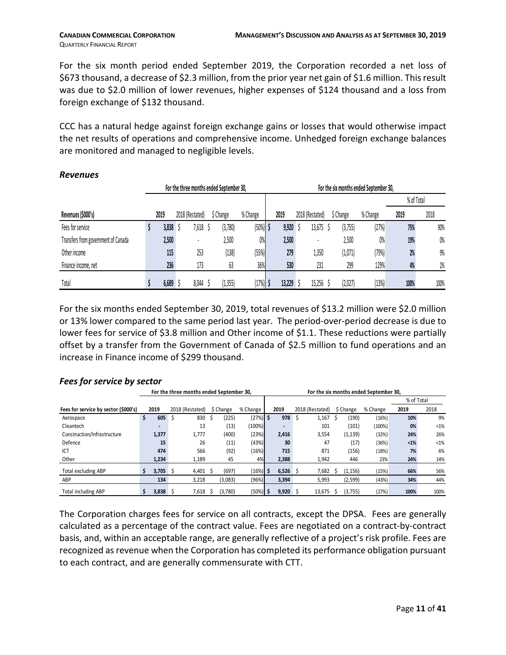For the six month period ended September 2019, the Corporation recorded a net loss of \$673 thousand, a decrease of \$2.3 million, from the prior year net gain of \$1.6 million. Thisresult was due to \$2.0 million of lower revenues, higher expenses of \$124 thousand and a loss from foreign exchange of \$132 thousand.

CCC has a natural hedge against foreign exchange gains or losses that would otherwise impact the net results of operations and comprehensive income. Unhedged foreign exchange balances are monitored and managed to negligible levels.

|                                     |      |       | For the three months ended September 30, |           |            |        |                 | For the six months ended September 30, |          |            |      |
|-------------------------------------|------|-------|------------------------------------------|-----------|------------|--------|-----------------|----------------------------------------|----------|------------|------|
|                                     |      |       |                                          |           |            |        |                 |                                        |          | % of Total |      |
| Revenues (\$000's)                  | 2019 |       | 2018 (Restated)                          | \$ Change | % Change   | 2019   | 2018 (Restated) | \$ Change                              | % Change | 2019       | 2018 |
| Fees for service                    |      | 3,838 | 7,618                                    | (3,780)   | $(50%)$ \$ | 9,920  | 13,675          | (3,755)                                | (27%)    | 75%        | 90%  |
| Transfers from government of Canada |      | 2,500 |                                          | 2,500     | 0%         | 2,500  |                 | 2,500                                  | 0%       | 19%        | 0%   |
| Other income                        |      | 115   | 253                                      | (138)     | (55%)      | 279    | 1,350           | (1,071)                                | (79%)    | 2%         | 9%   |
| Finance income, net                 |      | 236   | 173                                      | 63        | 36%        | 530    | 231             | 299                                    | 129%     | 4%         | 2%   |
| Total                               |      | 6,689 | 8,044                                    | (1, 355)  | $(17%)$ \$ | 13,229 | 15,256          | (2,027)                                | (13%)    | 100%       | 100% |

#### *Revenues*

For the six months ended September 30, 2019, total revenues of \$13.2 million were \$2.0 million or 13% lower compared to the same period last year. The period-over-period decrease is due to lower fees for service of \$3.8 million and Other income of \$1.1. These reductions were partially offset by a transfer from the Government of Canada of \$2.5 million to fund operations and an increase in Finance income of \$299 thousand.

#### *Fees for service by sector*

|                                      |    |            |                 |       | For the three months ended September 30. |             |            |     |                 |   |           | For the six months ended September 30. |            |         |
|--------------------------------------|----|------------|-----------------|-------|------------------------------------------|-------------|------------|-----|-----------------|---|-----------|----------------------------------------|------------|---------|
|                                      |    |            |                 |       |                                          |             |            |     |                 |   |           |                                        | % of Total |         |
| Fees for service by sector (\$000's) |    | 2019       | 2018 (Restated) |       | \$ Change                                | % Change    | 2019       |     | 2018 (Restated) |   | \$ Change | % Change                               | 2019       | 2018    |
| Aerospace                            | \$ | 605        | ১               | 830   | (225)                                    | $(27%)$ \$  | 978        | ∣\$ | 1,167           | S | (190)     | (16%)                                  | 10%        | 9%      |
| Cleantech                            |    |            |                 | 13    | (13)                                     | (100%)      |            |     | 101             |   | (101)     | (100%)                                 | 0%         | $< 1\%$ |
| Construction/Infrastructure          |    | 1,377      |                 | 1,777 | (400)                                    | (23%)       | 2,416      |     | 3,554           |   | (1, 139)  | (32%)                                  | 24%        | 26%     |
| Defence                              |    | 15         |                 | 26    | (11)                                     | (43%)       | 30         |     | 47              |   | (17)      | (36%)                                  | $1%$       | $< 1\%$ |
| ICT                                  |    | 474        |                 | 566   | (92)                                     | (16%)       | 715        |     | 871             |   | (156)     | (18%)                                  | 7%         | 6%      |
| Other                                |    | 1,234      |                 | 1,189 | 45                                       | 4%          | 2,388      |     | 1,942           |   | 446       | 23%                                    | 24%        | 14%     |
| Total excluding ABP                  | Ŝ. | $3,705$ \$ |                 | 4,401 | (697)                                    | (16%)       | $6,526$ \$ |     | 7,682           |   | (1, 156)  | (15%)                                  | 66%        | 56%     |
| ABP                                  |    | 134        |                 | 3,218 | (3,083)                                  | (96%)       | 3,394      |     | 5,993           |   | (2, 599)  | (43%)                                  | 34%        | 44%     |
| <b>Total including ABP</b>           |    | 3.838      |                 | 7,618 | (3,780)                                  | $(50\%)$ \$ | $9,920$ \$ |     | 13.675          | S | (3,755)   | (27%)                                  | 100%       | 100%    |

The Corporation charges fees for service on all contracts, except the DPSA. Fees are generally calculated as a percentage of the contract value. Fees are negotiated on a contract-by-contract basis, and, within an acceptable range, are generally reflective of a project's risk profile. Fees are recognized as revenue when the Corporation has completed its performance obligation pursuant to each contract, and are generally commensurate with CTT.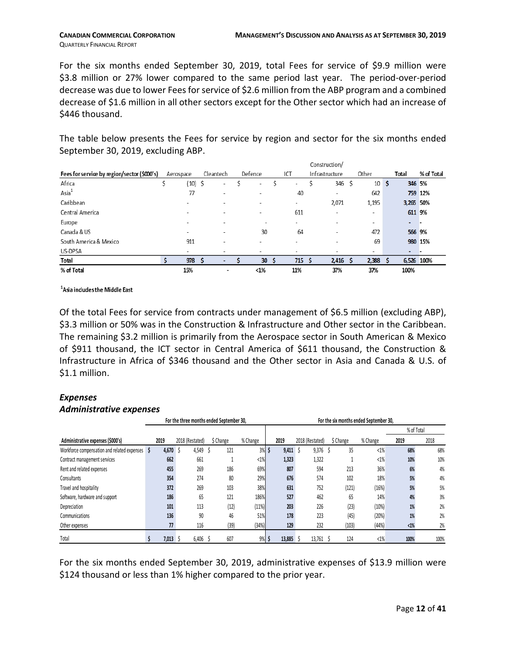For the six months ended September 30, 2019, total Fees for service of \$9.9 million were \$3.8 million or 27% lower compared to the same period last year. The period-over-period decrease was due to lower Fees for service of \$2.6 million from the ABP program and a combined decrease of \$1.6 million in all other sectors except for the Other sector which had an increase of \$446 thousand.

The table below presents the Fees for service by region and sector for the six months ended September 30, 2019, excluding ABP.

|                                             |           |                          |           |                          |                          |   |                          |    | Construction/            |                          |            |            |
|---------------------------------------------|-----------|--------------------------|-----------|--------------------------|--------------------------|---|--------------------------|----|--------------------------|--------------------------|------------|------------|
| Fees for service by region/sector (\$000's) | Aerospace |                          | Cleantech |                          | Defence                  |   | ICT                      |    | Infrastructure           | Other                    | Total      | % of Total |
| Africa                                      |           | (10) \$                  |           | $\sim$                   | $\overline{\phantom{a}}$ | S | ۰                        | S  | 346 \$                   | 10 <sub>5</sub>          | 346 5%     |            |
| Asia <sup>1</sup>                           |           | 77                       |           | $\overline{\phantom{a}}$ | $\overline{\phantom{a}}$ |   | 40                       |    | $\overline{\phantom{a}}$ | 642                      |            | 759 12%    |
| Caribbean                                   |           | $\overline{\phantom{a}}$ |           | ۰                        | $\overline{\phantom{a}}$ |   | ٠                        |    | 2,071                    | 1,195                    | 3,265 50%  |            |
| Central America                             |           | ۰                        |           |                          | $\overline{\phantom{a}}$ |   | 611                      |    | ٠                        | $\overline{\phantom{a}}$ | 611 9%     |            |
| Europe                                      |           | ۰                        |           | $\overline{\phantom{a}}$ | $\sim$                   |   | $\overline{\phantom{a}}$ |    | ۰                        | $\overline{\phantom{a}}$ |            |            |
| Canada & US                                 |           | ۰                        |           |                          | 30                       |   | 64                       |    | ۰                        | 472                      | 566 9%     |            |
| South America & Mexico                      |           | 911                      |           | $\overline{\phantom{a}}$ |                          |   | $\overline{\phantom{a}}$ |    | $\overline{\phantom{a}}$ | 69                       | 980 15%    |            |
| US-DPSA                                     |           | -                        |           | $\overline{\phantom{a}}$ | $\overline{\phantom{a}}$ |   | $\overline{\phantom{a}}$ |    | ۰                        | $\overline{\phantom{a}}$ | ۰          |            |
| Total                                       |           | 978                      |           |                          | 30                       | ь | 715                      | -S | 2,416                    | 2,388                    | 6,526 100% |            |
| % of Total                                  |           | 15%                      |           | ۰                        | <1%                      |   | 11%                      |    | 37%                      | 37%                      | 100%       |            |

<sup>1</sup>Asia indudes the Middle East

Of the total Fees for service from contracts under management of \$6.5 million (excluding ABP), \$3.3 million or 50% was in the Construction & Infrastructure and Other sector in the Caribbean. The remaining \$3.2 million is primarily from the Aerospace sector in South American & Mexico of \$911 thousand, the ICT sector in Central America of \$611 thousand, the Construction & Infrastructure in Africa of \$346 thousand and the Other sector in Asia and Canada & U.S. of \$1.1 million.

# *Expenses*

# *Administrative expenses*

|                                             |   |       |                 | For the three months ended September 30, |          |        |                 | For the six months ended September 30, |          |            |      |
|---------------------------------------------|---|-------|-----------------|------------------------------------------|----------|--------|-----------------|----------------------------------------|----------|------------|------|
|                                             |   |       |                 |                                          |          |        |                 |                                        |          | % of Total |      |
| Administrative expenses (\$000's)           |   | 2019  | 2018 (Restated) | \$ Change                                | % Change | 2019   | 2018 (Restated) | \$ Change                              | % Change | 2019       | 2018 |
| Workforce compensation and related expenses | S | 4,670 | 4,549           | 121                                      | $3\%$ \$ | 9.411  | 9,376           | 35                                     | $< 1\%$  | 68%        | 68%  |
| Contract management services                |   | 662   | 661             |                                          | $< 1\%$  | 1,323  | 1,322           |                                        | $<1\%$   | 10%        | 10%  |
| Rent and related expenses                   |   | 455   | 269             | 186                                      | 69%      | 807    | 594             | 213                                    | 36%      | 6%         | 4%   |
| Consultants                                 |   | 354   | 274             | 80                                       | 29%      | 676    | 574             | 102                                    | 18%      | 5%         | 4%   |
| Travel and hospitality                      |   | 372   | 269             | 103                                      | 38%      | 631    | 752             | (121)                                  | (16%)    | 5%         | 5%   |
| Software, hardware and support              |   | 186   | 65              | 121                                      | 186%     | 527    | 462             | 65                                     | 14%      | 4%         | 3%   |
| Depreciation                                |   | 101   | 113             | (12)                                     | (11%)    | 203    | 226             | (23)                                   | (10%)    | 1%         | 2%   |
| Communications                              |   | 136   | 90              | 46                                       | 51%      | 178    | 223             | (45)                                   | (20%)    | 1%         | 2%   |
| Other expenses                              |   | 77    | 116             | (39)                                     | (34%)    | 129    | 232             | (103)                                  | (44% )   | <1%        | 2%   |
| Total                                       |   | 7,013 | 6,406           | 607                                      | 9%       | 13,885 | 13,761          | 124                                    | $< 1\%$  | 100%       | 100% |

For the six months ended September 30, 2019, administrative expenses of \$13.9 million were \$124 thousand or less than 1% higher compared to the prior year.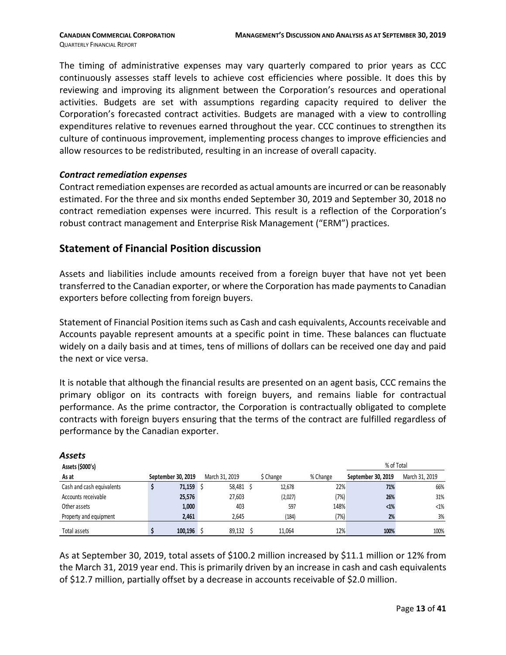The timing of administrative expenses may vary quarterly compared to prior years as CCC continuously assesses staff levels to achieve cost efficiencies where possible. It does this by reviewing and improving its alignment between the Corporation's resources and operational activities. Budgets are set with assumptions regarding capacity required to deliver the Corporation's forecasted contract activities. Budgets are managed with a view to controlling expenditures relative to revenues earned throughout the year. CCC continues to strengthen its culture of continuous improvement, implementing process changes to improve efficiencies and allow resources to be redistributed, resulting in an increase of overall capacity.

#### *Contract remediation expenses*

Contract remediation expenses are recorded as actual amounts are incurred or can be reasonably estimated. For the three and six months ended September 30, 2019 and September 30, 2018 no contract remediation expenses were incurred. This result is a reflection of the Corporation's robust contract management and Enterprise Risk Management ("ERM") practices.

#### **Statement of Financial Position discussion**

Assets and liabilities include amounts received from a foreign buyer that have not yet been transferred to the Canadian exporter, or where the Corporation has made payments to Canadian exporters before collecting from foreign buyers.

Statement of Financial Position items such as Cash and cash equivalents, Accounts receivable and Accounts payable represent amounts at a specific point in time. These balances can fluctuate widely on a daily basis and at times, tens of millions of dollars can be received one day and paid the next or vice versa.

It is notable that although the financial results are presented on an agent basis, CCC remains the primary obligor on its contracts with foreign buyers, and remains liable for contractual performance. As the prime contractor, the Corporation is contractually obligated to complete contracts with foreign buyers ensuring that the terms of the contract are fulfilled regardless of performance by the Canadian exporter.

| Assets                    |                    |         |                 |           |          |                    |                |
|---------------------------|--------------------|---------|-----------------|-----------|----------|--------------------|----------------|
| Assets (\$000's)          |                    |         |                 |           |          | % of Total         |                |
| As at                     | September 30, 2019 |         | March 31, 2019  | \$ Change | % Change | September 30, 2019 | March 31, 2019 |
| Cash and cash equivalents |                    | 71,159  | 58,481 \$<br>∣S | 12,678    | 22%      | 71%                | 66%            |
| Accounts receivable       |                    | 25,576  | 27,603          | (2,027)   | (7%)     | 26%                | 31%            |
| Other assets              |                    | 1,000   | 403             | 597       | 148%     | $<1\%$             | $<1\%$         |
| Property and equipment    |                    | 2,461   | 2,645           | (184)     | (7%)     | 2%                 | 3%             |
| Total assets              |                    | 100,196 | 89,132          | 11.064    | 12%      | 100%               | 100%           |

As at September 30, 2019, total assets of \$100.2 million increased by \$11.1 million or 12% from the March 31, 2019 year end. This is primarily driven by an increase in cash and cash equivalents of \$12.7 million, partially offset by a decrease in accounts receivable of \$2.0 million.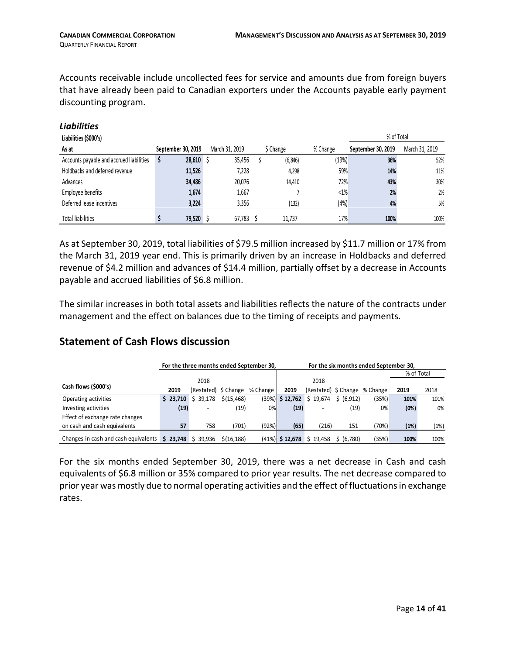*Liabilities* 

Accounts receivable include uncollected fees for service and amounts due from foreign buyers that have already been paid to Canadian exporters under the Accounts payable early payment discounting program.

| Liabilities (\$000's)                    |                    |                |           |          | % of Total         |                |
|------------------------------------------|--------------------|----------------|-----------|----------|--------------------|----------------|
| As at                                    | September 30, 2019 | March 31, 2019 | \$ Change | % Change | September 30, 2019 | March 31, 2019 |
| Accounts payable and accrued liabilities | $28,610$ \$<br>S   | 35,456         | (6, 846)  | (19%)    | 36%                | 52%            |
| Holdbacks and deferred revenue           | 11,526             | 7,228          | 4,298     | 59%      | 14%                | 11%            |
| Advances                                 | 34,486             | 20.076         | 14.410    | 72%      | 43%                | 30%            |
| Employee benefits                        | 1,674              | 1,667          |           | $< 1\%$  | 2%                 | 2%             |
| Deferred lease incentives                | 3,224              | 3,356          | (132)     | (4%)     | 4%                 | 5%             |
| <b>Total liabilities</b>                 | 79,520 \$          | 67,783         | 11.737    | 17%      | 100%               | 100%           |

As at September 30, 2019, total liabilities of \$79.5 million increased by \$11.7 million or 17% from the March 31, 2019 year end. This is primarily driven by an increase in Holdbacks and deferred revenue of \$4.2 million and advances of \$14.4 million, partially offset by a decrease in Accounts payable and accrued liabilities of \$6.8 million.

The similar increases in both total assets and liabilities reflects the nature of the contracts under management and the effect on balances due to the timing of receipts and payments.

# **Statement of Cash Flows discussion**

|                                      |      |                     |                      | For the three months ended September 30, |                    | For the six months ended September 30, |            |                               |            |      |
|--------------------------------------|------|---------------------|----------------------|------------------------------------------|--------------------|----------------------------------------|------------|-------------------------------|------------|------|
|                                      |      |                     |                      |                                          |                    |                                        |            |                               | % of Total |      |
|                                      |      | 2018                |                      |                                          |                    | 2018                                   |            |                               |            |      |
| Cash flows (\$000's)                 | 2019 |                     | (Restated) \$ Change | % Change                                 | 2019               |                                        |            | (Restated) \$ Change % Change | 2019       | 2018 |
| Operating activities                 |      | $$23,710 \$39,178$  | \$(15, 468)          |                                          | $(39\%)$ \$ 12,762 | \$19,674                               | \$ (6,912) | (35%)                         | 101%       | 101% |
| Investing activities                 | (19) |                     | (19)                 | 0%                                       | (19)               |                                        | (19)       | $0\%$                         | (0%)       | 0%   |
| Effect of exchange rate changes      |      |                     |                      |                                          |                    |                                        |            |                               |            |      |
| on cash and cash equivalents         | 57   | 758                 | (701)                | (92%)                                    | (65)               | (216)                                  | 151        | (70%)                         | (1%)       | (1%) |
| Changes in cash and cash equivalents |      | $$23.748 \& 39.936$ | \$(16.188)           |                                          |                    | $(41\%)$ \$ 12,678 \$ 19,458           | \$ (6,780) | (35%)                         | 100%       | 100% |

For the six months ended September 30, 2019, there was a net decrease in Cash and cash equivalents of \$6.8 million or 35% compared to prior year results. The net decrease compared to prior year was mostly due to normal operating activities and the effect of fluctuations in exchange rates.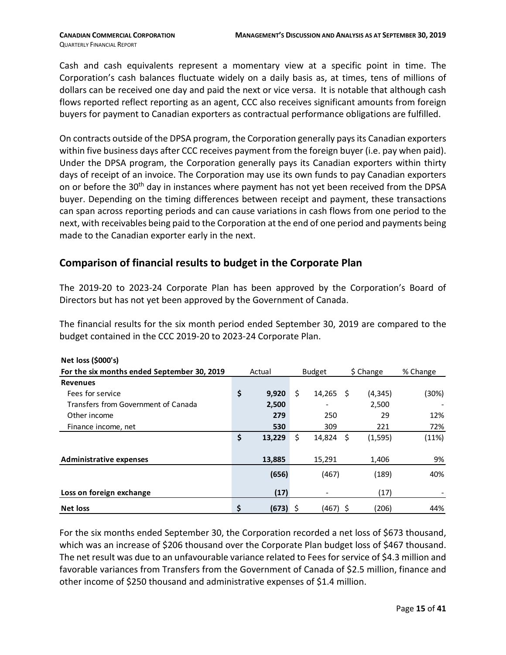Cash and cash equivalents represent a momentary view at a specific point in time. The Corporation's cash balances fluctuate widely on a daily basis as, at times, tens of millions of dollars can be received one day and paid the next or vice versa. It is notable that although cash flows reported reflect reporting as an agent, CCC also receives significant amounts from foreign buyers for payment to Canadian exporters as contractual performance obligations are fulfilled.

On contracts outside of the DPSA program, the Corporation generally pays its Canadian exporters within five business days after CCC receives payment from the foreign buyer (i.e. pay when paid). Under the DPSA program, the Corporation generally pays its Canadian exporters within thirty days of receipt of an invoice. The Corporation may use its own funds to pay Canadian exporters on or before the 30<sup>th</sup> day in instances where payment has not yet been received from the DPSA buyer. Depending on the timing differences between receipt and payment, these transactions can span across reporting periods and can cause variations in cash flows from one period to the next, with receivables being paid to the Corporation at the end of one period and payments being made to the Canadian exporter early in the next.

# **Comparison of financial results to budget in the Corporate Plan**

The 2019-20 to 2023-24 Corporate Plan has been approved by the Corporation's Board of Directors but has not yet been approved by the Government of Canada.

The financial results for the six month period ended September 30, 2019 are compared to the budget contained in the CCC 2019-20 to 2023-24 Corporate Plan.

| Net loss (\$000's)                          |                  |               |           |          |          |
|---------------------------------------------|------------------|---------------|-----------|----------|----------|
| For the six months ended September 30, 2019 | Actual           | <b>Budget</b> | \$ Change |          | % Change |
| <b>Revenues</b>                             |                  |               |           |          |          |
| Fees for service                            | \$<br>9,920      | \$<br>14,265  | - S       | (4, 345) | (30%)    |
| Transfers from Government of Canada         | 2,500            |               |           | 2,500    |          |
| Other income                                | 279              | 250           |           | 29       | 12%      |
| Finance income, net                         | 530              | 309           |           | 221      | 72%      |
|                                             | \$<br>13,229     | \$<br>14,824  | \$        | (1, 595) | (11%)    |
|                                             |                  |               |           |          |          |
| <b>Administrative expenses</b>              | 13,885           | 15,291        |           | 1,406    | 9%       |
|                                             | (656)            | (467)         |           | (189)    | 40%      |
| Loss on foreign exchange                    | (17)             |               |           | (17)     |          |
| <b>Net loss</b>                             | \$<br>$(673)$ \$ | $(467)$ \$    |           | (206)    | 44%      |

For the six months ended September 30, the Corporation recorded a net loss of \$673 thousand, which was an increase of \$206 thousand over the Corporate Plan budget loss of \$467 thousand. The net result was due to an unfavourable variance related to Fees for service of \$4.3 million and favorable variances from Transfers from the Government of Canada of \$2.5 million, finance and other income of \$250 thousand and administrative expenses of \$1.4 million.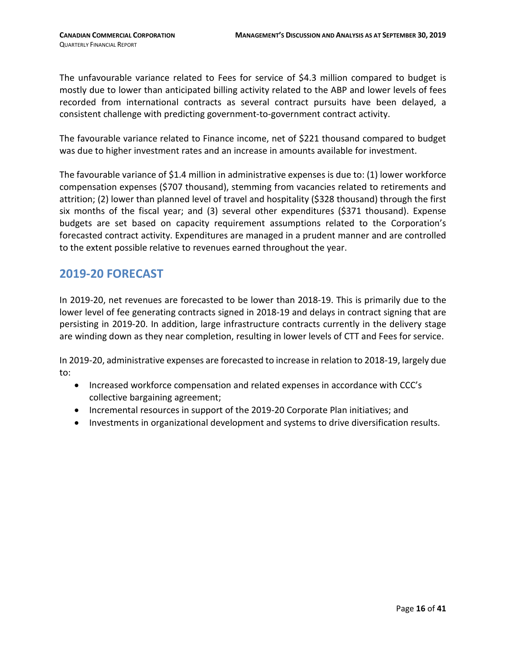The unfavourable variance related to Fees for service of \$4.3 million compared to budget is mostly due to lower than anticipated billing activity related to the ABP and lower levels of fees recorded from international contracts as several contract pursuits have been delayed, a consistent challenge with predicting government-to-government contract activity.

The favourable variance related to Finance income, net of \$221 thousand compared to budget was due to higher investment rates and an increase in amounts available for investment.

The favourable variance of \$1.4 million in administrative expenses is due to: (1) lower workforce compensation expenses (\$707 thousand), stemming from vacancies related to retirements and attrition; (2) lower than planned level of travel and hospitality (\$328 thousand) through the first six months of the fiscal year; and (3) several other expenditures (\$371 thousand). Expense budgets are set based on capacity requirement assumptions related to the Corporation's forecasted contract activity. Expenditures are managed in a prudent manner and are controlled to the extent possible relative to revenues earned throughout the year.

# <span id="page-15-0"></span>**2019-20 FORECAST**

In 2019-20, net revenues are forecasted to be lower than 2018-19. This is primarily due to the lower level of fee generating contracts signed in 2018-19 and delays in contract signing that are persisting in 2019-20. In addition, large infrastructure contracts currently in the delivery stage are winding down as they near completion, resulting in lower levels of CTT and Fees for service.

In 2019-20, administrative expenses are forecasted to increase in relation to 2018-19, largely due to:

- Increased workforce compensation and related expenses in accordance with CCC's collective bargaining agreement;
- Incremental resources in support of the 2019-20 Corporate Plan initiatives; and
- <span id="page-15-1"></span>• Investments in organizational development and systems to drive diversification results.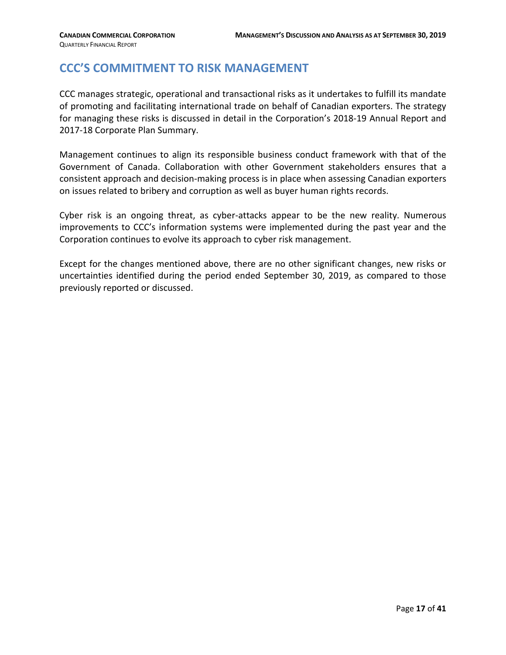# **CCC'S COMMITMENT TO RISK MANAGEMENT**

CCC manages strategic, operational and transactional risks as it undertakes to fulfill its mandate of promoting and facilitating international trade on behalf of Canadian exporters. The strategy for managing these risks is discussed in detail in the Corporation's 2018-19 Annual Report and 2017-18 Corporate Plan Summary.

Management continues to align its responsible business conduct framework with that of the Government of Canada. Collaboration with other Government stakeholders ensures that a consistent approach and decision-making process is in place when assessing Canadian exporters on issues related to bribery and corruption as well as buyer human rights records.

Cyber risk is an ongoing threat, as cyber-attacks appear to be the new reality. Numerous improvements to CCC's information systems were implemented during the past year and the Corporation continues to evolve its approach to cyber risk management.

Except for the changes mentioned above, there are no other significant changes, new risks or uncertainties identified during the period ended September 30, 2019, as compared to those previously reported or discussed.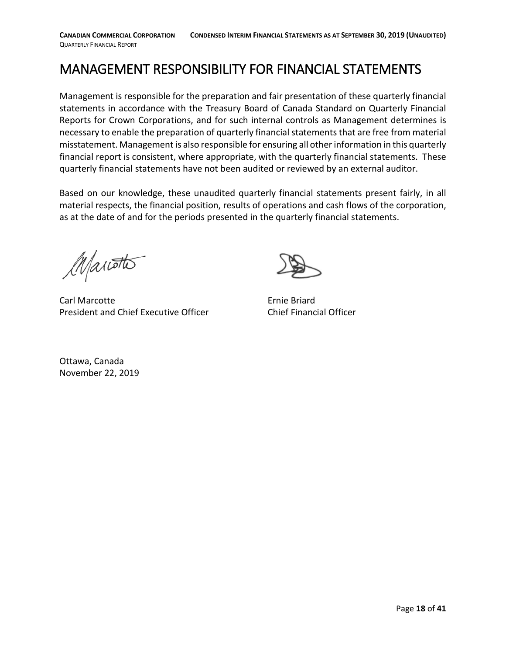<span id="page-17-0"></span>MANAGEMENT RESPONSIBILITY FOR FINANCIAL STATEMENTS

Management is responsible for the preparation and fair presentation of these quarterly financial statements in accordance with the Treasury Board of Canada Standard on Quarterly Financial Reports for Crown Corporations, and for such internal controls as Management determines is necessary to enable the preparation of quarterly financial statements that are free from material misstatement. Management is also responsible for ensuring all other information in this quarterly financial report is consistent, where appropriate, with the quarterly financial statements. These quarterly financial statements have not been audited or reviewed by an external auditor.

Based on our knowledge, these unaudited quarterly financial statements present fairly, in all material respects, the financial position, results of operations and cash flows of the corporation, as at the date of and for the periods presented in the quarterly financial statements.

Manotto

Carl Marcotte **Example 2018** Ernie Briard President and Chief Executive Officer Chief Financial Officer



Ottawa, Canada November 22, 2019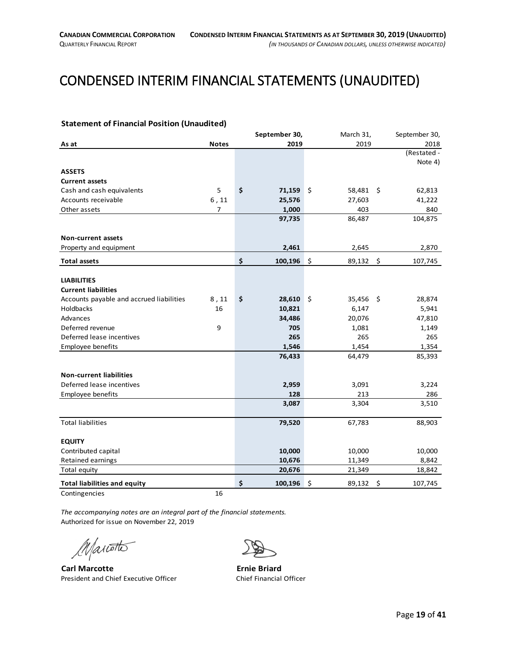# <span id="page-18-0"></span>CONDENSED INTERIM FINANCIAL STATEMENTS (UNAUDITED)

#### <span id="page-18-1"></span>**Statement of Financial Position (Unaudited)**

|                                          |                | September 30, | March 31,    |    | September 30, |
|------------------------------------------|----------------|---------------|--------------|----|---------------|
| As at                                    | <b>Notes</b>   | 2019          | 2019         |    | 2018          |
|                                          |                |               |              |    | (Restated -   |
|                                          |                |               |              |    | Note 4)       |
| <b>ASSETS</b>                            |                |               |              |    |               |
| <b>Current assets</b>                    |                |               |              |    |               |
| Cash and cash equivalents                | 5              | \$<br>71,159  | \$<br>58,481 | \$ | 62,813        |
| Accounts receivable                      | 6, 11          | 25,576        | 27,603       |    | 41,222        |
| Other assets                             | $\overline{7}$ | 1,000         | 403          |    | 840           |
|                                          |                | 97,735        | 86,487       |    | 104,875       |
|                                          |                |               |              |    |               |
| Non-current assets                       |                |               |              |    |               |
| Property and equipment                   |                | 2,461         | 2,645        |    | 2,870         |
| <b>Total assets</b>                      |                | \$<br>100,196 | \$<br>89,132 | \$ | 107,745       |
|                                          |                |               |              |    |               |
| <b>LIABILITIES</b>                       |                |               |              |    |               |
| <b>Current liabilities</b>               |                |               |              |    |               |
| Accounts payable and accrued liabilities | 8,11           | \$<br>28,610  | \$<br>35,456 | Ŝ. | 28,874        |
| Holdbacks                                | 16             | 10,821        | 6,147        |    | 5,941         |
| Advances                                 |                | 34,486        | 20,076       |    | 47,810        |
| Deferred revenue                         | 9              | 705           | 1,081        |    | 1,149         |
| Deferred lease incentives                |                | 265           | 265          |    | 265           |
| Employee benefits                        |                | 1,546         | 1,454        |    | 1,354         |
|                                          |                | 76,433        | 64,479       |    | 85,393        |
| <b>Non-current liabilities</b>           |                |               |              |    |               |
| Deferred lease incentives                |                | 2,959         | 3,091        |    | 3,224         |
| Employee benefits                        |                | 128           | 213          |    | 286           |
|                                          |                | 3,087         | 3,304        |    | 3,510         |
|                                          |                |               |              |    |               |
| <b>Total liabilities</b>                 |                | 79,520        | 67,783       |    | 88,903        |
| <b>EQUITY</b>                            |                |               |              |    |               |
| Contributed capital                      |                | 10,000        | 10,000       |    | 10,000        |
| Retained earnings                        |                | 10,676        | 11,349       |    | 8,842         |
| Total equity                             |                | 20,676        | 21,349       |    | 18,842        |
|                                          |                |               |              |    |               |
| <b>Total liabilities and equity</b>      |                | \$<br>100,196 | \$<br>89,132 | \$ | 107,745       |
| Contingencies                            | 16             |               |              |    |               |

*The accompanying notes are an integral part of the financial statements.* Authorized for issue on November 22, 2019

Manotto

**Carl Marcotte Ernie Briard** President and Chief Executive Officer Chief Financial Officer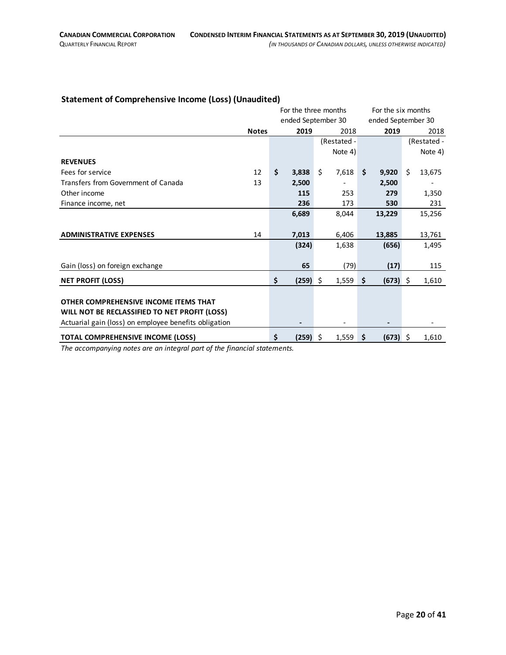#### <span id="page-19-0"></span>**Statement of Comprehensive Income (Loss) (Unaudited)**

|                                                       |              |                   | For the three months | For the six months |                    |  |
|-------------------------------------------------------|--------------|-------------------|----------------------|--------------------|--------------------|--|
|                                                       |              |                   | ended September 30   |                    | ended September 30 |  |
|                                                       | <b>Notes</b> | 2019              | 2018                 | 2019               | 2018               |  |
|                                                       |              |                   | (Restated -          |                    | (Restated -        |  |
|                                                       |              |                   | Note 4)              |                    | Note 4)            |  |
| <b>REVENUES</b>                                       |              |                   |                      |                    |                    |  |
| Fees for service                                      | 12           | \$<br>3,838       | \$<br>7,618          | \$<br>9,920        | \$<br>13,675       |  |
| Transfers from Government of Canada                   | 13           | 2,500             |                      | 2,500              |                    |  |
| Other income                                          |              | 115               | 253                  | 279                | 1,350              |  |
| Finance income, net                                   |              | 236               | 173                  | 530                | 231                |  |
|                                                       |              | 6,689             | 8,044                | 13,229             | 15,256             |  |
|                                                       |              |                   |                      |                    |                    |  |
| <b>ADMINISTRATIVE EXPENSES</b>                        | 14           | 7,013             | 6,406                | 13,885             | 13,761             |  |
|                                                       |              | (324)             | 1,638                | (656)              | 1,495              |  |
|                                                       |              |                   |                      |                    |                    |  |
| Gain (loss) on foreign exchange                       |              | 65                | (79)                 | (17)               | 115                |  |
| <b>NET PROFIT (LOSS)</b>                              |              | \$<br>$(259)$ \$  | 1,559                | \$<br>$(673)$ \$   | 1,610              |  |
|                                                       |              |                   |                      |                    |                    |  |
| OTHER COMPREHENSIVE INCOME ITEMS THAT                 |              |                   |                      |                    |                    |  |
| WILL NOT BE RECLASSIFIED TO NET PROFIT (LOSS)         |              |                   |                      |                    |                    |  |
| Actuarial gain (loss) on employee benefits obligation |              | $\hbox{\small -}$ |                      | -                  |                    |  |
| <b>TOTAL COMPREHENSIVE INCOME (LOSS)</b>              |              | \$<br>$(259)$ \$  | $1,559$ \$           | $(673)$ \$         | 1,610              |  |
|                                                       |              |                   |                      |                    |                    |  |

*The accompanying notes are an integral part of the financial statements.*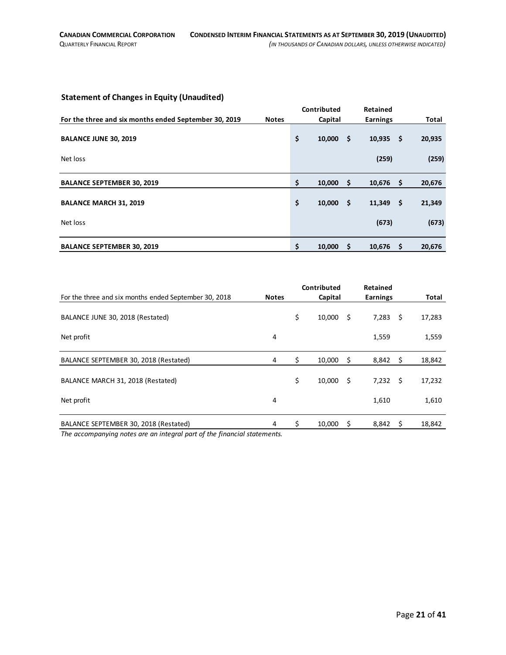### <span id="page-20-0"></span>**Statement of Changes in Equity (Unaudited)**

|                                                       |              | Contributed  |      | Retained        |      |        |
|-------------------------------------------------------|--------------|--------------|------|-----------------|------|--------|
| For the three and six months ended September 30, 2019 | <b>Notes</b> | Capital      |      | <b>Earnings</b> |      | Total  |
| <b>BALANCE JUNE 30, 2019</b>                          |              | \$<br>10,000 | - \$ | 10,935          | - \$ | 20,935 |
|                                                       |              |              |      |                 |      |        |
| Net loss                                              |              |              |      | (259)           |      | (259)  |
| <b>BALANCE SEPTEMBER 30, 2019</b>                     |              | \$<br>10,000 | -\$  | 10,676          | -\$  | 20,676 |
| <b>BALANCE MARCH 31, 2019</b>                         |              | \$<br>10,000 | - \$ | 11,349          | - \$ | 21,349 |
| Net loss                                              |              |              |      | (673)           |      | (673)  |
| <b>BALANCE SEPTEMBER 30, 2019</b>                     |              | \$<br>10,000 | -S   | 10,676          | - Ś  | 20,676 |

|                                                                          |              |    | Contributed |      | <b>Retained</b> |      |        |
|--------------------------------------------------------------------------|--------------|----|-------------|------|-----------------|------|--------|
| For the three and six months ended September 30, 2018                    | <b>Notes</b> |    | Capital     |      | <b>Earnings</b> |      | Total  |
| BALANCE JUNE 30, 2018 (Restated)                                         |              | \$ | 10,000      | \$   | 7,283           | -\$  | 17,283 |
| Net profit                                                               | 4            |    |             |      | 1,559           |      | 1,559  |
| BALANCE SEPTEMBER 30, 2018 (Restated)                                    | 4            | \$ | 10,000      | -\$  | 8,842           | - \$ | 18,842 |
| BALANCE MARCH 31, 2018 (Restated)                                        |              | \$ | 10,000      | - \$ | 7,232           | - \$ | 17,232 |
| Net profit                                                               | 4            |    |             |      | 1,610           |      | 1,610  |
| BALANCE SEPTEMBER 30, 2018 (Restated)                                    | 4            | Ś. | 10.000      | \$.  | 8,842           | -S   | 18,842 |
| The accompanying notes are an integral part of the financial statements. |              |    |             |      |                 |      |        |

*The accompanying notes are an integral part of the financial statements.*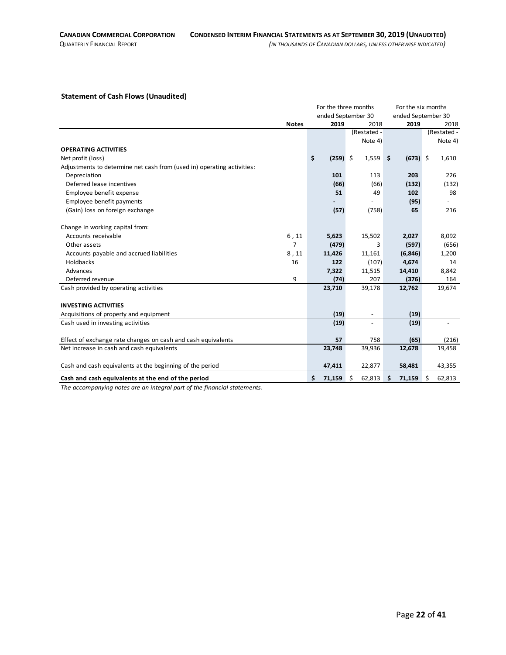#### <span id="page-21-0"></span>**Statement of Cash Flows (Unaudited)**

|                                                                        |              | For the three months |                    | For the six months |               |
|------------------------------------------------------------------------|--------------|----------------------|--------------------|--------------------|---------------|
|                                                                        |              |                      | ended September 30 | ended September 30 |               |
|                                                                        | <b>Notes</b> | 2019                 | 2018               | 2019               | 2018          |
|                                                                        |              |                      | (Restated -        |                    | (Restated -   |
|                                                                        |              |                      | Note 4)            |                    | Note 4)       |
| <b>OPERATING ACTIVITIES</b>                                            |              |                      |                    |                    |               |
| Net profit (loss)                                                      |              | \$<br>$(259)$ \$     | 1,559              | $(673)$ \$<br>\$   | 1,610         |
| Adjustments to determine net cash from (used in) operating activities: |              |                      |                    |                    |               |
| Depreciation                                                           |              | 101                  | 113                | 203                | 226           |
| Deferred lease incentives                                              |              | (66)                 | (66)               | (132)              | (132)         |
| Employee benefit expense                                               |              | 51                   | 49                 | 102                | 98            |
| Employee benefit payments                                              |              |                      |                    | (95)               |               |
| (Gain) loss on foreign exchange                                        |              | (57)                 | (758)              | 65                 | 216           |
| Change in working capital from:                                        |              |                      |                    |                    |               |
| Accounts receivable                                                    | 6, 11        | 5,623                | 15,502             | 2,027              | 8,092         |
| Other assets                                                           | 7            | (479)                | 3                  | (597)              | (656)         |
| Accounts payable and accrued liabilities                               | 8,11         | 11,426               | 11,161             | (6, 846)           | 1,200         |
| Holdbacks                                                              | 16           | 122                  | (107)              | 4,674              | 14            |
| Advances                                                               |              | 7,322                | 11,515             | 14,410             | 8,842         |
| Deferred revenue                                                       | 9            | (74)                 | 207                | (376)              | 164           |
| Cash provided by operating activities                                  |              | 23,710               | 39,178             | 12,762             | 19,674        |
| <b>INVESTING ACTIVITIES</b>                                            |              |                      |                    |                    |               |
| Acquisitions of property and equipment                                 |              | (19)                 |                    | (19)               |               |
| Cash used in investing activities                                      |              | (19)                 | $\blacksquare$     | (19)               |               |
| Effect of exchange rate changes on cash and cash equivalents           |              | 57                   | 758                | (65)               | (216)         |
| Net increase in cash and cash equivalents                              |              | 23,748               | 39,936             | 12,678             | 19,458        |
| Cash and cash equivalents at the beginning of the period               |              | 47,411               | 22,877             | 58,481             | 43,355        |
| Cash and cash equivalents at the end of the period                     |              | \$<br>71,159         | \$<br>62,813       | 71,159<br>Ŝ        | \$.<br>62,813 |

*The accompanying notes are an integral part of the financial statements.*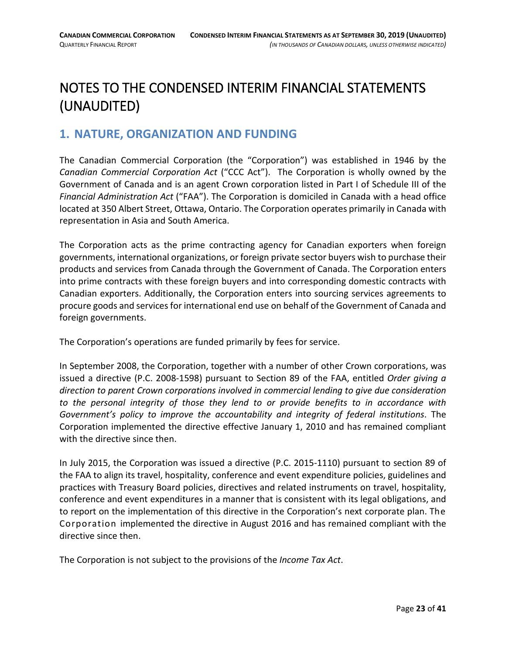# <span id="page-22-0"></span>NOTES TO THE CONDENSED INTERIM FINANCIAL STATEMENTS (UNAUDITED)

# <span id="page-22-1"></span>**1. NATURE, ORGANIZATION AND FUNDING**

The Canadian Commercial Corporation (the "Corporation") was established in 1946 by the *Canadian Commercial Corporation Act* ("CCC Act"). The Corporation is wholly owned by the Government of Canada and is an agent Crown corporation listed in Part I of Schedule III of the *Financial Administration Act* ("FAA"). The Corporation is domiciled in Canada with a head office located at 350 Albert Street, Ottawa, Ontario. The Corporation operates primarily in Canada with representation in Asia and South America.

The Corporation acts as the prime contracting agency for Canadian exporters when foreign governments, international organizations, or foreign private sector buyers wish to purchase their products and services from Canada through the Government of Canada. The Corporation enters into prime contracts with these foreign buyers and into corresponding domestic contracts with Canadian exporters. Additionally, the Corporation enters into sourcing services agreements to procure goods and services for international end use on behalf of the Government of Canada and foreign governments.

The Corporation's operations are funded primarily by fees for service.

In September 2008, the Corporation, together with a number of other Crown corporations, was issued a directive (P.C. 2008-1598) pursuant to Section 89 of the FAA, entitled *Order giving a direction to parent Crown corporations involved in commercial lending to give due consideration to the personal integrity of those they lend to or provide benefits to in accordance with Government's policy to improve the accountability and integrity of federal institutions*. The Corporation implemented the directive effective January 1, 2010 and has remained compliant with the directive since then.

In July 2015, the Corporation was issued a directive (P.C. 2015-1110) pursuant to section 89 of the FAA to align its travel, hospitality, conference and event expenditure policies, guidelines and practices with Treasury Board policies, directives and related instruments on travel, hospitality, conference and event expenditures in a manner that is consistent with its legal obligations, and to report on the implementation of this directive in the Corporation's next corporate plan. The Corporation implemented the directive in August 2016 and has remained compliant with the directive since then.

The Corporation is not subject to the provisions of the *Income Tax Act*.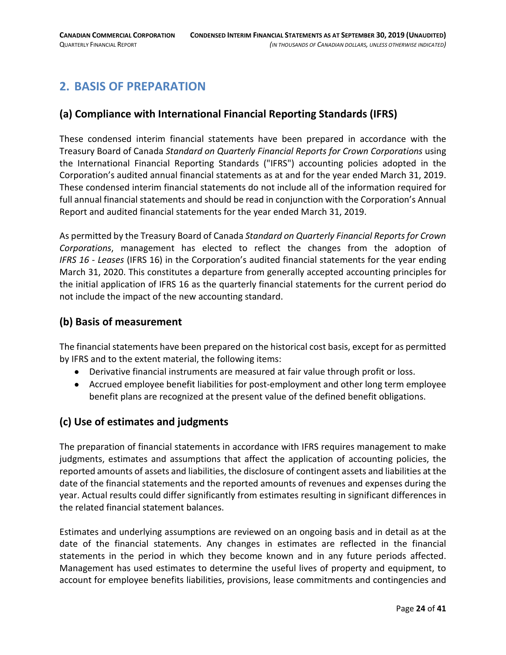# <span id="page-23-0"></span>**2. BASIS OF PREPARATION**

# **(a) Compliance with International Financial Reporting Standards (IFRS)**

These condensed interim financial statements have been prepared in accordance with the Treasury Board of Canada *Standard on Quarterly Financial Reports for Crown Corporations* using the International Financial Reporting Standards ("IFRS") accounting policies adopted in the Corporation's audited annual financial statements as at and for the year ended March 31, 2019. These condensed interim financial statements do not include all of the information required for full annual financial statements and should be read in conjunction with the Corporation's Annual Report and audited financial statements for the year ended March 31, 2019.

As permitted by the Treasury Board of Canada *Standard on Quarterly Financial Reports for Crown Corporations*, management has elected to reflect the changes from the adoption of *IFRS 16 - Leases* (IFRS 16) in the Corporation's audited financial statements for the year ending March 31, 2020. This constitutes a departure from generally accepted accounting principles for the initial application of IFRS 16 as the quarterly financial statements for the current period do not include the impact of the new accounting standard.

## **(b) Basis of measurement**

The financial statements have been prepared on the historical cost basis, except for as permitted by IFRS and to the extent material, the following items:

- Derivative financial instruments are measured at fair value through profit or loss.
- Accrued employee benefit liabilities for post-employment and other long term employee benefit plans are recognized at the present value of the defined benefit obligations.

# **(c) Use of estimates and judgments**

The preparation of financial statements in accordance with IFRS requires management to make judgments, estimates and assumptions that affect the application of accounting policies, the reported amounts of assets and liabilities, the disclosure of contingent assets and liabilities at the date of the financial statements and the reported amounts of revenues and expenses during the year. Actual results could differ significantly from estimates resulting in significant differences in the related financial statement balances.

Estimates and underlying assumptions are reviewed on an ongoing basis and in detail as at the date of the financial statements. Any changes in estimates are reflected in the financial statements in the period in which they become known and in any future periods affected. Management has used estimates to determine the useful lives of property and equipment, to account for employee benefits liabilities, provisions, lease commitments and contingencies and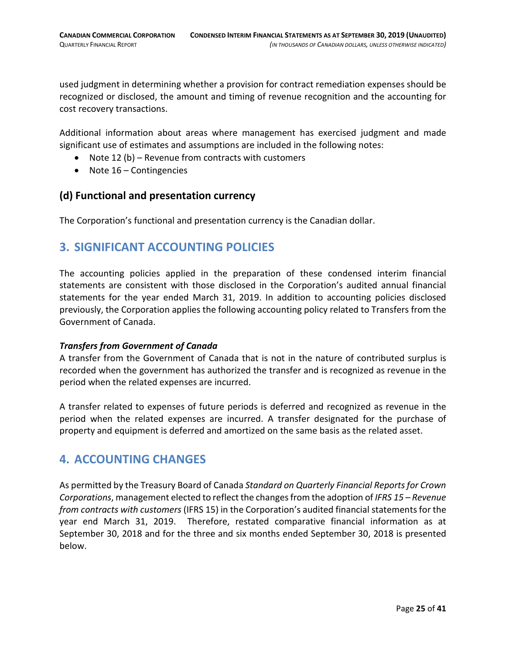used judgment in determining whether a provision for contract remediation expenses should be recognized or disclosed, the amount and timing of revenue recognition and the accounting for cost recovery transactions.

Additional information about areas where management has exercised judgment and made significant use of estimates and assumptions are included in the following notes:

- Note 12 (b) Revenue from contracts with customers
- Note 16 Contingencies

#### **(d) Functional and presentation currency**

The Corporation's functional and presentation currency is the Canadian dollar.

# <span id="page-24-0"></span>**3. SIGNIFICANT ACCOUNTING POLICIES**

The accounting policies applied in the preparation of these condensed interim financial statements are consistent with those disclosed in the Corporation's audited annual financial statements for the year ended March 31, 2019. In addition to accounting policies disclosed previously, the Corporation applies the following accounting policy related to Transfers from the Government of Canada.

#### *Transfers from Government of Canada*

A transfer from the Government of Canada that is not in the nature of contributed surplus is recorded when the government has authorized the transfer and is recognized as revenue in the period when the related expenses are incurred.

A transfer related to expenses of future periods is deferred and recognized as revenue in the period when the related expenses are incurred. A transfer designated for the purchase of property and equipment is deferred and amortized on the same basis as the related asset.

# <span id="page-24-1"></span>**4. ACCOUNTING CHANGES**

As permitted by the Treasury Board of Canada *Standard on Quarterly Financial Reports for Crown Corporations*, management elected to reflect the changes from the adoption of *IFRS 15 – Revenue from contracts with customers* (IFRS 15) in the Corporation's audited financial statements for the year end March 31, 2019. Therefore, restated comparative financial information as at September 30, 2018 and for the three and six months ended September 30, 2018 is presented below.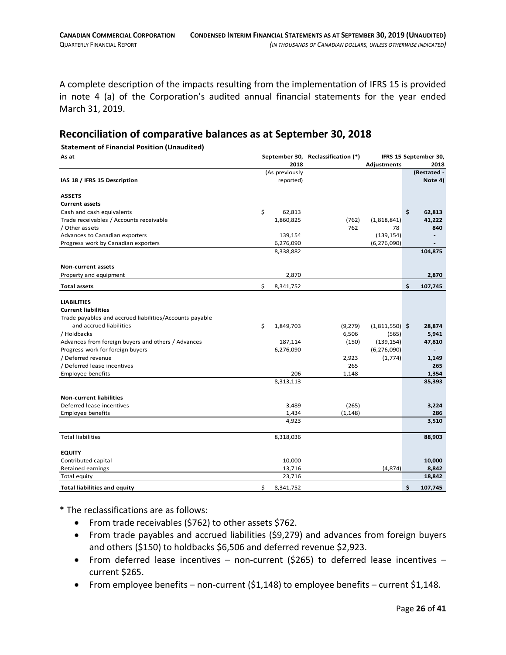A complete description of the impacts resulting from the implementation of IFRS 15 is provided in note 4 (a) of the Corporation's audited annual financial statements for the year ended March 31, 2019.

## **Reconciliation of comparative balances as at September 30, 2018**

#### **Statement of Financial Position (Unaudited)**

| As at                                                   |                 | September 30, Reclassification (*) |                  | IFRS 15 September 30, |             |  |
|---------------------------------------------------------|-----------------|------------------------------------|------------------|-----------------------|-------------|--|
|                                                         | 2018            |                                    | Adjustments      |                       | 2018        |  |
|                                                         | (As previously  |                                    |                  |                       | (Restated - |  |
| IAS 18 / IFRS 15 Description                            | reported)       |                                    |                  |                       | Note 4)     |  |
| <b>ASSETS</b>                                           |                 |                                    |                  |                       |             |  |
| <b>Current assets</b>                                   |                 |                                    |                  |                       |             |  |
| Cash and cash equivalents                               | \$<br>62,813    |                                    |                  | \$                    | 62,813      |  |
| Trade receivables / Accounts receivable                 | 1,860,825       | (762)                              | (1,818,841)      |                       | 41,222      |  |
| / Other assets                                          |                 | 762                                | 78               |                       | 840         |  |
| Advances to Canadian exporters                          | 139,154         |                                    | (139, 154)       |                       |             |  |
| Progress work by Canadian exporters                     | 6,276,090       |                                    | (6, 276, 090)    |                       |             |  |
|                                                         | 8,338,882       |                                    |                  |                       | 104,875     |  |
| <b>Non-current assets</b>                               |                 |                                    |                  |                       |             |  |
| Property and equipment                                  | 2,870           |                                    |                  |                       | 2,870       |  |
| <b>Total assets</b>                                     | \$<br>8,341,752 |                                    |                  | \$                    | 107,745     |  |
| <b>LIABILITIES</b>                                      |                 |                                    |                  |                       |             |  |
| <b>Current liabilities</b>                              |                 |                                    |                  |                       |             |  |
| Trade payables and accrued liabilities/Accounts payable |                 |                                    |                  |                       |             |  |
| and accrued liabilities                                 | \$<br>1,849,703 | (9, 279)                           | $(1,811,550)$ \$ |                       | 28,874      |  |
| / Holdbacks                                             |                 | 6,506                              | (565)            |                       | 5,941       |  |
| Advances from foreign buyers and others / Advances      | 187,114         | (150)                              | (139, 154)       |                       | 47,810      |  |
| Progress work for foreign buyers                        | 6,276,090       |                                    | (6, 276, 090)    |                       |             |  |
| / Deferred revenue                                      |                 | 2,923                              | (1,774)          |                       | 1,149       |  |
| / Deferred lease incentives                             |                 | 265                                |                  |                       | 265         |  |
| <b>Employee benefits</b>                                | 206             | 1,148                              |                  |                       | 1,354       |  |
|                                                         | 8,313,113       |                                    |                  |                       | 85,393      |  |
|                                                         |                 |                                    |                  |                       |             |  |
| <b>Non-current liabilities</b>                          |                 |                                    |                  |                       |             |  |
| Deferred lease incentives                               | 3,489           | (265)                              |                  |                       | 3,224       |  |
| Employee benefits                                       | 1,434           | (1, 148)                           |                  |                       | 286         |  |
|                                                         | 4,923           |                                    |                  |                       | 3,510       |  |
| <b>Total liabilities</b>                                | 8,318,036       |                                    |                  |                       | 88,903      |  |
| <b>EQUITY</b>                                           |                 |                                    |                  |                       |             |  |
| Contributed capital                                     | 10,000          |                                    |                  |                       | 10,000      |  |
| Retained earnings                                       | 13,716          |                                    | (4,874)          |                       | 8,842       |  |
| Total equity                                            | 23,716          |                                    |                  |                       | 18,842      |  |
| <b>Total liabilities and equity</b>                     | \$<br>8,341,752 |                                    |                  | \$                    | 107,745     |  |

\* The reclassifications are as follows:

- From trade receivables (\$762) to other assets \$762.
- From trade payables and accrued liabilities (\$9,279) and advances from foreign buyers and others (\$150) to holdbacks \$6,506 and deferred revenue \$2,923.
- From deferred lease incentives non-current (\$265) to deferred lease incentives current \$265.
- From employee benefits non-current (\$1,148) to employee benefits current \$1,148.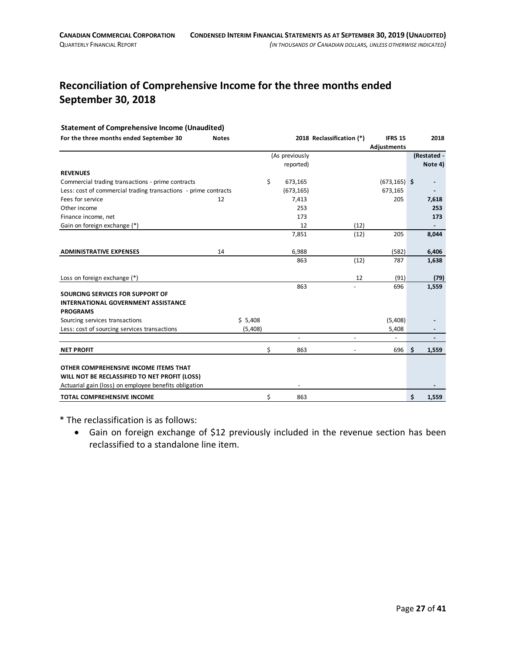# **Reconciliation of Comprehensive Income for the three months ended September 30, 2018**

#### **Statement of Comprehensive Income (Unaudited)**

| For the three months ended September 30                         | <b>Notes</b> |         |    |                | 2018 Reclassification (*) | <b>IFRS 15</b>  | 2018        |
|-----------------------------------------------------------------|--------------|---------|----|----------------|---------------------------|-----------------|-------------|
|                                                                 |              |         |    |                |                           | Adjustments     |             |
|                                                                 |              |         |    | (As previously |                           |                 | (Restated - |
|                                                                 |              |         |    | reported)      |                           |                 | Note 4)     |
| <b>REVENUES</b>                                                 |              |         |    |                |                           |                 |             |
| Commercial trading transactions - prime contracts               |              |         | \$ | 673,165        |                           | $(673, 165)$ \$ |             |
| Less: cost of commercial trading transactions - prime contracts |              |         |    | (673, 165)     |                           | 673,165         |             |
| Fees for service                                                | 12           |         |    | 7,413          |                           | 205             | 7,618       |
| Other income                                                    |              |         |    | 253            |                           |                 | 253         |
| Finance income, net                                             |              |         |    | 173            |                           |                 | 173         |
| Gain on foreign exchange (*)                                    |              |         |    | 12             | (12)                      |                 |             |
|                                                                 |              |         |    | 7,851          | (12)                      | 205             | 8,044       |
|                                                                 |              |         |    |                |                           |                 |             |
| <b>ADMINISTRATIVE EXPENSES</b>                                  | 14           |         |    | 6,988          |                           | (582)           | 6,406       |
|                                                                 |              |         |    | 863            | (12)                      | 787             | 1,638       |
|                                                                 |              |         |    |                |                           |                 |             |
| Loss on foreign exchange (*)                                    |              |         |    |                | 12                        | (91)            | (79)        |
|                                                                 |              |         |    | 863            |                           | 696             | 1,559       |
| SOURCING SERVICES FOR SUPPORT OF                                |              |         |    |                |                           |                 |             |
| <b>INTERNATIONAL GOVERNMENT ASSISTANCE</b>                      |              |         |    |                |                           |                 |             |
| <b>PROGRAMS</b>                                                 |              |         |    |                |                           |                 |             |
| Sourcing services transactions                                  |              | \$5,408 |    |                |                           | (5,408)         |             |
| Less: cost of sourcing services transactions                    |              | (5,408) |    |                |                           | 5,408           |             |
|                                                                 |              |         |    |                |                           |                 |             |
| <b>NET PROFIT</b>                                               |              |         | \$ | 863            |                           | 696             | \$<br>1,559 |
|                                                                 |              |         |    |                |                           |                 |             |
| OTHER COMPREHENSIVE INCOME ITEMS THAT                           |              |         |    |                |                           |                 |             |
| WILL NOT BE RECLASSIFIED TO NET PROFIT (LOSS)                   |              |         |    |                |                           |                 |             |
| Actuarial gain (loss) on employee benefits obligation           |              |         |    |                |                           |                 |             |
| <b>TOTAL COMPREHENSIVE INCOME</b>                               |              |         | Ś  | 863            |                           |                 | \$<br>1,559 |

\* The reclassification is as follows:

• Gain on foreign exchange of \$12 previously included in the revenue section has been reclassified to a standalone line item.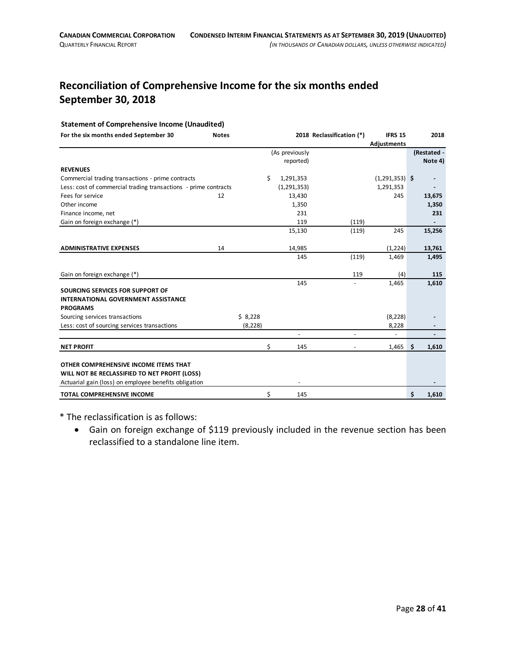# **Reconciliation of Comprehensive Income for the six months ended September 30, 2018**

#### **Statement of Comprehensive Income (Unaudited)**

| For the six months ended September 30                           | <b>Notes</b> |          |                 | 2018 Reclassification (*) | <b>IFRS 15</b>   | 2018        |
|-----------------------------------------------------------------|--------------|----------|-----------------|---------------------------|------------------|-------------|
|                                                                 |              |          | (As previously  |                           | Adjustments      | (Restated - |
|                                                                 |              |          | reported)       |                           |                  | Note 4)     |
| <b>REVENUES</b>                                                 |              |          |                 |                           |                  |             |
| Commercial trading transactions - prime contracts               |              |          | \$<br>1,291,353 |                           | $(1,291,353)$ \$ |             |
| Less: cost of commercial trading transactions - prime contracts |              |          | (1, 291, 353)   |                           | 1,291,353        |             |
| Fees for service                                                | 12           |          | 13,430          |                           | 245              | 13,675      |
| Other income                                                    |              |          | 1,350           |                           |                  | 1,350       |
| Finance income, net                                             |              |          | 231             |                           |                  | 231         |
| Gain on foreign exchange (*)                                    |              |          | 119             | (119)                     |                  |             |
|                                                                 |              |          | 15,130          | (119)                     | 245              | 15,256      |
|                                                                 |              |          |                 |                           |                  |             |
| <b>ADMINISTRATIVE EXPENSES</b>                                  | 14           |          | 14,985          |                           | (1,224)          | 13,761      |
|                                                                 |              |          | 145             | (119)                     | 1,469            | 1,495       |
|                                                                 |              |          |                 |                           |                  |             |
| Gain on foreign exchange (*)                                    |              |          |                 | 119                       | (4)              | 115         |
|                                                                 |              |          | 145             |                           | 1,465            | 1,610       |
| SOURCING SERVICES FOR SUPPORT OF                                |              |          |                 |                           |                  |             |
| <b>INTERNATIONAL GOVERNMENT ASSISTANCE</b>                      |              |          |                 |                           |                  |             |
| <b>PROGRAMS</b>                                                 |              |          |                 |                           |                  |             |
| Sourcing services transactions                                  |              | \$8,228  |                 |                           | (8, 228)         |             |
| Less: cost of sourcing services transactions                    |              | (8, 228) |                 |                           | 8,228            |             |
|                                                                 |              |          |                 |                           |                  |             |
| <b>NET PROFIT</b>                                               |              |          | \$<br>145       |                           | 1,465            | \$<br>1,610 |
|                                                                 |              |          |                 |                           |                  |             |
| OTHER COMPREHENSIVE INCOME ITEMS THAT                           |              |          |                 |                           |                  |             |
| WILL NOT BE RECLASSIFIED TO NET PROFIT (LOSS)                   |              |          |                 |                           |                  |             |
| Actuarial gain (loss) on employee benefits obligation           |              |          |                 |                           |                  |             |
| TOTAL COMPREHENSIVE INCOME                                      |              |          | \$<br>145       |                           |                  | \$<br>1,610 |

\* The reclassification is as follows:

• Gain on foreign exchange of \$119 previously included in the revenue section has been reclassified to a standalone line item.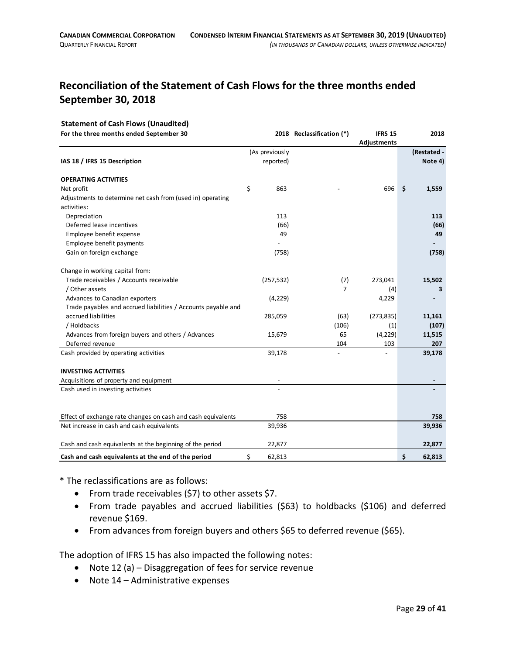# **Reconciliation of the Statement of Cash Flows for the three months ended September 30, 2018**

#### **Statement of Cash Flows (Unaudited)**

| For the three months ended September 30                       |                          | 2018 Reclassification (*) | <b>IFRS 15</b> | 2018         |
|---------------------------------------------------------------|--------------------------|---------------------------|----------------|--------------|
|                                                               |                          |                           | Adjustments    |              |
|                                                               | (As previously           |                           |                | (Restated -  |
| IAS 18 / IFRS 15 Description                                  | reported)                |                           |                | Note 4)      |
| <b>OPERATING ACTIVITIES</b>                                   |                          |                           |                |              |
| Net profit                                                    | \$<br>863                |                           | 696            | \$<br>1,559  |
| Adjustments to determine net cash from (used in) operating    |                          |                           |                |              |
| activities:                                                   |                          |                           |                |              |
| Depreciation                                                  | 113                      |                           |                | 113          |
| Deferred lease incentives                                     | (66)                     |                           |                | (66)         |
| Employee benefit expense                                      | 49                       |                           |                | 49           |
| Employee benefit payments                                     |                          |                           |                |              |
| Gain on foreign exchange                                      | (758)                    |                           |                | (758)        |
| Change in working capital from:                               |                          |                           |                |              |
| Trade receivables / Accounts receivable                       | (257, 532)               | (7)                       | 273,041        | 15,502       |
| / Other assets                                                |                          | $\overline{7}$            | (4)            | 3            |
| Advances to Canadian exporters                                | (4, 229)                 |                           | 4,229          |              |
| Trade payables and accrued liabilities / Accounts payable and |                          |                           |                |              |
| accrued liabilities                                           | 285,059                  | (63)                      | (273, 835)     | 11,161       |
| / Holdbacks                                                   |                          | (106)                     | (1)            | (107)        |
| Advances from foreign buyers and others / Advances            | 15,679                   | 65                        | (4, 229)       | 11,515       |
| Deferred revenue                                              |                          | 104                       | 103            | 207          |
| Cash provided by operating activities                         | 39,178                   |                           |                | 39,178       |
| <b>INVESTING ACTIVITIES</b>                                   |                          |                           |                |              |
| Acquisitions of property and equipment                        | $\overline{\phantom{a}}$ |                           |                |              |
| Cash used in investing activities                             |                          |                           |                |              |
|                                                               |                          |                           |                |              |
| Effect of exchange rate changes on cash and cash equivalents  | 758                      |                           |                | 758          |
| Net increase in cash and cash equivalents                     | 39,936                   |                           |                | 39,936       |
| Cash and cash equivalents at the beginning of the period      | 22,877                   |                           |                | 22,877       |
| Cash and cash equivalents at the end of the period            | \$<br>62,813             |                           |                | \$<br>62,813 |

\* The reclassifications are as follows:

- From trade receivables (\$7) to other assets \$7.
- From trade payables and accrued liabilities (\$63) to holdbacks (\$106) and deferred revenue \$169.
- From advances from foreign buyers and others \$65 to deferred revenue (\$65).

The adoption of IFRS 15 has also impacted the following notes:

- Note 12 (a) Disaggregation of fees for service revenue
- Note 14 Administrative expenses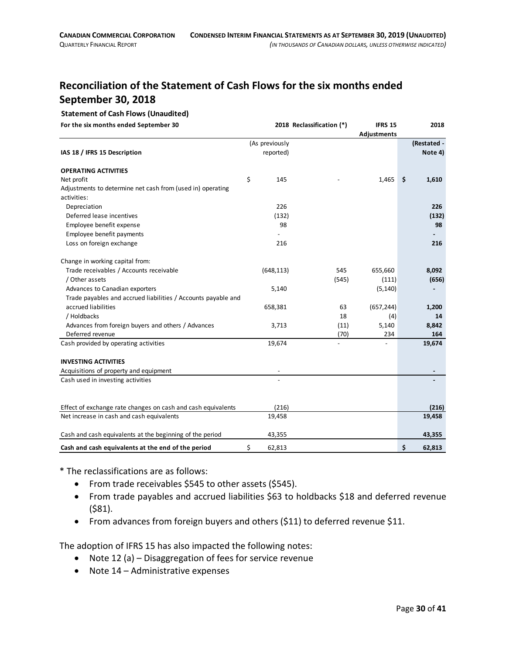# **Reconciliation of the Statement of Cash Flows for the six months ended September 30, 2018**

#### **Statement of Cash Flows (Unaudited)**

**For the six months ended September 30 2018 Reclassification (\*) IFRS 15 2018**

|                                                                           |                |       | Adjustments |              |
|---------------------------------------------------------------------------|----------------|-------|-------------|--------------|
|                                                                           | (As previously |       |             | (Restated -  |
| IAS 18 / IFRS 15 Description                                              | reported)      |       |             | Note 4)      |
| <b>OPERATING ACTIVITIES</b>                                               |                |       |             |              |
| Net profit                                                                | \$<br>145      |       | 1,465       | \$<br>1,610  |
| Adjustments to determine net cash from (used in) operating<br>activities: |                |       |             |              |
| Depreciation                                                              | 226            |       |             | 226          |
| Deferred lease incentives                                                 | (132)          |       |             | (132)        |
| Employee benefit expense                                                  | 98             |       |             | 98           |
| Employee benefit payments                                                 |                |       |             |              |
| Loss on foreign exchange                                                  | 216            |       |             | 216          |
| Change in working capital from:                                           |                |       |             |              |
| Trade receivables / Accounts receivable                                   | (648, 113)     | 545   | 655,660     | 8,092        |
| / Other assets                                                            |                | (545) | (111)       | (656)        |
| Advances to Canadian exporters                                            | 5,140          |       | (5, 140)    |              |
| Trade payables and accrued liabilities / Accounts payable and             |                |       |             |              |
| accrued liabilities                                                       | 658,381        | 63    | (657, 244)  | 1,200        |
| / Holdbacks                                                               |                | 18    | (4)         | 14           |
| Advances from foreign buyers and others / Advances                        | 3,713          | (11)  | 5,140       | 8,842        |
| Deferred revenue                                                          |                | (70)  | 234         | 164          |
| Cash provided by operating activities                                     | 19,674         |       |             | 19,674       |
| <b>INVESTING ACTIVITIES</b>                                               |                |       |             |              |
| Acquisitions of property and equipment                                    |                |       |             |              |
| Cash used in investing activities                                         |                |       |             |              |
|                                                                           |                |       |             |              |
| Effect of exchange rate changes on cash and cash equivalents              | (216)          |       |             | (216)        |
| Net increase in cash and cash equivalents                                 | 19,458         |       |             | 19,458       |
| Cash and cash equivalents at the beginning of the period                  | 43,355         |       |             | 43,355       |
| Cash and cash equivalents at the end of the period                        | \$<br>62,813   |       |             | \$<br>62,813 |

\* The reclassifications are as follows:

- From trade receivables \$545 to other assets (\$545).
- From trade payables and accrued liabilities \$63 to holdbacks \$18 and deferred revenue (\$81).
- From advances from foreign buyers and others (\$11) to deferred revenue \$11.

The adoption of IFRS 15 has also impacted the following notes:

- Note 12 (a) Disaggregation of fees for service revenue
- Note 14 Administrative expenses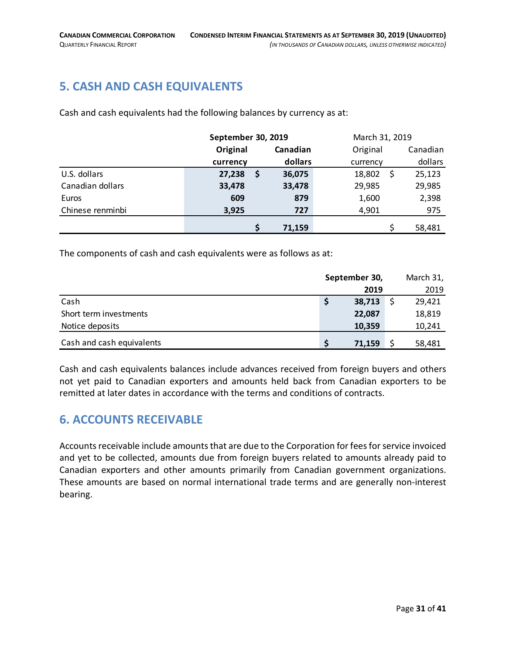# <span id="page-30-0"></span>**5. CASH AND CASH EQUIVALENTS**

Cash and cash equivalents had the following balances by currency as at:

|                  |          | September 30, 2019 |          |          | March 31, 2019 |          |  |
|------------------|----------|--------------------|----------|----------|----------------|----------|--|
|                  | Original |                    | Canadian | Original |                | Canadian |  |
|                  | currency |                    | dollars  | currency |                | dollars  |  |
| U.S. dollars     | 27,238   | -\$                | 36,075   | 18,802   |                | 25,123   |  |
| Canadian dollars | 33,478   |                    | 33,478   | 29,985   |                | 29,985   |  |
| Euros            | 609      |                    | 879      | 1,600    |                | 2,398    |  |
| Chinese renminbi | 3,925    |                    | 727      | 4,901    |                | 975      |  |
|                  |          | \$                 | 71,159   |          |                | 58,481   |  |

The components of cash and cash equivalents were as follows as at:

|                           | September 30, |        | March 31, |        |
|---------------------------|---------------|--------|-----------|--------|
|                           |               | 2019   |           | 2019   |
| Cash                      |               | 38,713 |           | 29,421 |
| Short term investments    |               | 22,087 |           | 18,819 |
| Notice deposits           |               | 10,359 |           | 10,241 |
| Cash and cash equivalents |               | 71,159 |           | 58,481 |

Cash and cash equivalents balances include advances received from foreign buyers and others not yet paid to Canadian exporters and amounts held back from Canadian exporters to be remitted at later dates in accordance with the terms and conditions of contracts.

# <span id="page-30-1"></span>**6. ACCOUNTS RECEIVABLE**

Accounts receivable include amounts that are due to the Corporation for fees for service invoiced and yet to be collected, amounts due from foreign buyers related to amounts already paid to Canadian exporters and other amounts primarily from Canadian government organizations. These amounts are based on normal international trade terms and are generally non-interest bearing.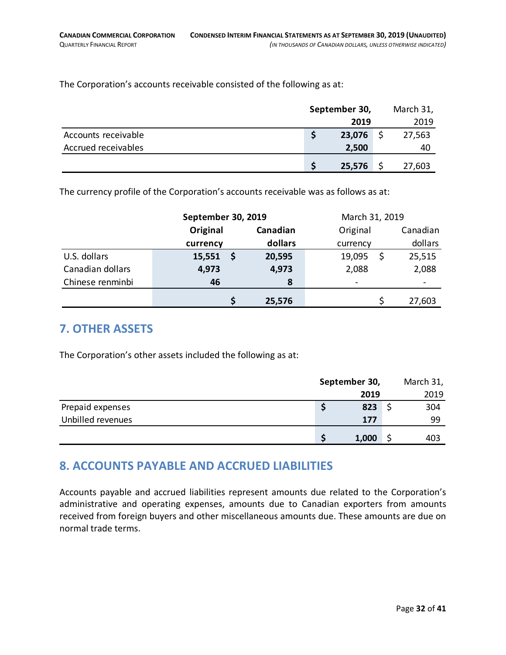The Corporation's accounts receivable consisted of the following as at:

|                     | September 30, |             | March 31, |  |
|---------------------|---------------|-------------|-----------|--|
|                     |               | 2019        | 2019      |  |
| Accounts receivable |               | 23,076      | 27,563    |  |
| Accrued receivables |               | 2,500       | 40        |  |
|                     |               | $25,576$ \$ | 27,603    |  |

The currency profile of the Corporation's accounts receivable was as follows as at:

|                  | September 30, 2019 |    |          | March 31, 2019 |          |
|------------------|--------------------|----|----------|----------------|----------|
|                  | Original           |    | Canadian | Original       | Canadian |
|                  | currency           |    | dollars  | currency       | dollars  |
| U.S. dollars     | 15,551             | \$ | 20,595   | 19,095         | 25,515   |
| Canadian dollars | 4,973              |    | 4,973    | 2,088          | 2,088    |
| Chinese renminbi | 46                 |    | 8        |                |          |
|                  |                    |    | 25,576   |                | 27,603   |

# <span id="page-31-0"></span>**7. OTHER ASSETS**

The Corporation's other assets included the following as at:

|                   | September 30, |       | March 31, |      |
|-------------------|---------------|-------|-----------|------|
|                   |               | 2019  |           | 2019 |
| Prepaid expenses  |               | 823   |           | 304  |
| Unbilled revenues |               | 177   |           | 99   |
|                   |               | 1,000 |           | 403  |

# <span id="page-31-1"></span>**8. ACCOUNTS PAYABLE AND ACCRUED LIABILITIES**

Accounts payable and accrued liabilities represent amounts due related to the Corporation's administrative and operating expenses, amounts due to Canadian exporters from amounts received from foreign buyers and other miscellaneous amounts due. These amounts are due on normal trade terms.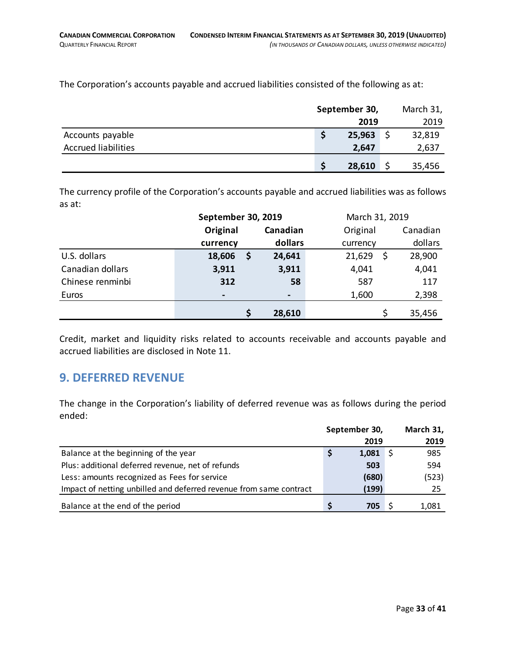The Corporation's accounts payable and accrued liabilities consisted of the following as at:

|                            |        | September 30, |        |
|----------------------------|--------|---------------|--------|
|                            | 2019   |               | 2019   |
| Accounts payable           | 25,963 |               | 32,819 |
| <b>Accrued liabilities</b> | 2,647  |               | 2,637  |
|                            | 28,610 |               | 35,456 |

The currency profile of the Corporation's accounts payable and accrued liabilities was as follows as at:

|                  | September 30, 2019 |  |                | March 31, 2019 |   |          |
|------------------|--------------------|--|----------------|----------------|---|----------|
|                  | Original           |  | Canadian       | Original       |   | Canadian |
|                  | currency           |  | dollars        | currency       |   | dollars  |
| U.S. dollars     | 18,606             |  | 24,641         | 21,629         | S | 28,900   |
| Canadian dollars | 3,911              |  | 3,911          | 4,041          |   | 4,041    |
| Chinese renminbi | 312                |  | 58             | 587            |   | 117      |
| Euros            |                    |  | $\blacksquare$ | 1,600          |   | 2,398    |
|                  |                    |  | 28,610         |                |   | 35,456   |

Credit, market and liquidity risks related to accounts receivable and accounts payable and accrued liabilities are disclosed in Note 11.

# <span id="page-32-0"></span>**9. DEFERRED REVENUE**

The change in the Corporation's liability of deferred revenue was as follows during the period ended:

|                                                                    | September 30, |       | March 31, |
|--------------------------------------------------------------------|---------------|-------|-----------|
|                                                                    |               | 2019  | 2019      |
| Balance at the beginning of the year                               |               | 1,081 | 985       |
| Plus: additional deferred revenue, net of refunds                  |               | 503   | 594       |
| Less: amounts recognized as Fees for service                       |               | (680) | (523)     |
| Impact of netting unbilled and deferred revenue from same contract |               | (199) | 25        |
| Balance at the end of the period                                   |               | 705   | 1,081     |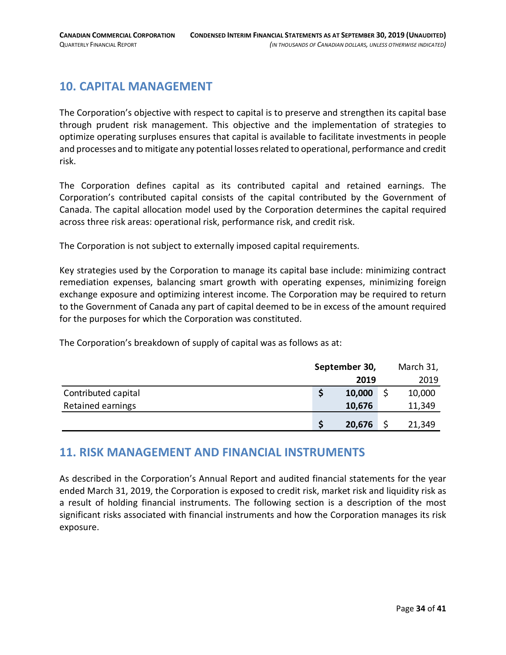# <span id="page-33-0"></span>**10. CAPITAL MANAGEMENT**

The Corporation's objective with respect to capital is to preserve and strengthen its capital base through prudent risk management. This objective and the implementation of strategies to optimize operating surpluses ensures that capital is available to facilitate investments in people and processes and to mitigate any potential losses related to operational, performance and credit risk.

The Corporation defines capital as its contributed capital and retained earnings. The Corporation's contributed capital consists of the capital contributed by the Government of Canada. The capital allocation model used by the Corporation determines the capital required across three risk areas: operational risk, performance risk, and credit risk.

The Corporation is not subject to externally imposed capital requirements.

Key strategies used by the Corporation to manage its capital base include: minimizing contract remediation expenses, balancing smart growth with operating expenses, minimizing foreign exchange exposure and optimizing interest income. The Corporation may be required to return to the Government of Canada any part of capital deemed to be in excess of the amount required for the purposes for which the Corporation was constituted.

The Corporation's breakdown of supply of capital was as follows as at:

|                     | September 30, |        | March 31, |  |
|---------------------|---------------|--------|-----------|--|
|                     |               | 2019   | 2019      |  |
| Contributed capital |               | 10,000 | 10,000    |  |
| Retained earnings   |               | 10,676 | 11,349    |  |
|                     |               | 20,676 | 21,349    |  |

# <span id="page-33-1"></span>**11. RISK MANAGEMENT AND FINANCIAL INSTRUMENTS**

As described in the Corporation's Annual Report and audited financial statements for the year ended March 31, 2019, the Corporation is exposed to credit risk, market risk and liquidity risk as a result of holding financial instruments. The following section is a description of the most significant risks associated with financial instruments and how the Corporation manages its risk exposure.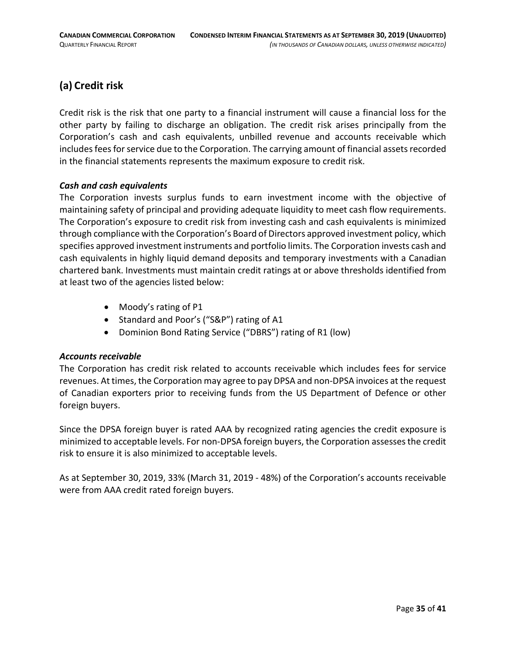# **(a) Credit risk**

Credit risk is the risk that one party to a financial instrument will cause a financial loss for the other party by failing to discharge an obligation. The credit risk arises principally from the Corporation's cash and cash equivalents, unbilled revenue and accounts receivable which includes fees for service due to the Corporation. The carrying amount of financial assets recorded in the financial statements represents the maximum exposure to credit risk.

#### *Cash and cash equivalents*

The Corporation invests surplus funds to earn investment income with the objective of maintaining safety of principal and providing adequate liquidity to meet cash flow requirements. The Corporation's exposure to credit risk from investing cash and cash equivalents is minimized through compliance with the Corporation's Board of Directors approved investment policy, which specifies approved investment instruments and portfolio limits. The Corporation invests cash and cash equivalents in highly liquid demand deposits and temporary investments with a Canadian chartered bank. Investments must maintain credit ratings at or above thresholds identified from at least two of the agencies listed below:

- Moody's rating of P1
- Standard and Poor's ("S&P") rating of A1
- Dominion Bond Rating Service ("DBRS") rating of R1 (low)

#### *Accounts receivable*

The Corporation has credit risk related to accounts receivable which includes fees for service revenues. At times, the Corporation may agree to pay DPSA and non-DPSA invoices at the request of Canadian exporters prior to receiving funds from the US Department of Defence or other foreign buyers.

Since the DPSA foreign buyer is rated AAA by recognized rating agencies the credit exposure is minimized to acceptable levels. For non-DPSA foreign buyers, the Corporation assesses the credit risk to ensure it is also minimized to acceptable levels.

As at September 30, 2019, 33% (March 31, 2019 - 48%) of the Corporation's accounts receivable were from AAA credit rated foreign buyers.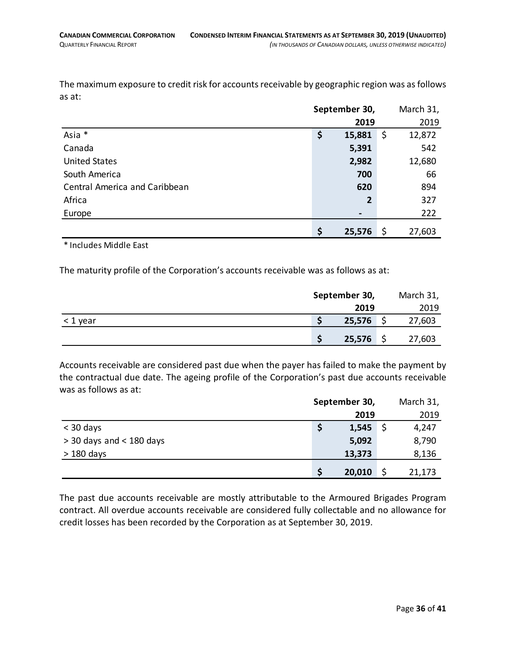The maximum exposure to credit risk for accounts receivable by geographic region was as follows as at:

|                                      | September 30,  |    | March 31, |  |
|--------------------------------------|----------------|----|-----------|--|
|                                      | 2019           |    | 2019      |  |
| Asia *                               | \$<br>15,881   | \$ | 12,872    |  |
| Canada                               | 5,391          |    | 542       |  |
| <b>United States</b>                 | 2,982          |    | 12,680    |  |
| South America                        | 700            |    | 66        |  |
| <b>Central America and Caribbean</b> | 620            |    | 894       |  |
| Africa                               | $\overline{2}$ |    | 327       |  |
| Europe                               | $\blacksquare$ |    | 222       |  |
|                                      | \$<br>25,576   | \$ | 27,603    |  |

\* Includes Middle East

The maturity profile of the Corporation's accounts receivable was as follows as at:

|            | September 30, | March 31, |        |
|------------|---------------|-----------|--------|
|            | 2019          |           | 2019   |
| $<$ 1 year | 25,576        |           | 27,603 |
|            | 25,576        |           | 27,603 |

Accounts receivable are considered past due when the payer has failed to make the payment by the contractual due date. The ageing profile of the Corporation's past due accounts receivable was as follows as at:

|                            | September 30, |  | March 31, |  |
|----------------------------|---------------|--|-----------|--|
|                            | 2019          |  | 2019      |  |
| $<$ 30 days                | 1,545         |  | 4,247     |  |
| $>$ 30 days and < 180 days | 5,092         |  | 8,790     |  |
| $>180$ days                | 13,373        |  | 8,136     |  |
|                            | 20,010        |  | 21,173    |  |

The past due accounts receivable are mostly attributable to the Armoured Brigades Program contract. All overdue accounts receivable are considered fully collectable and no allowance for credit losses has been recorded by the Corporation as at September 30, 2019.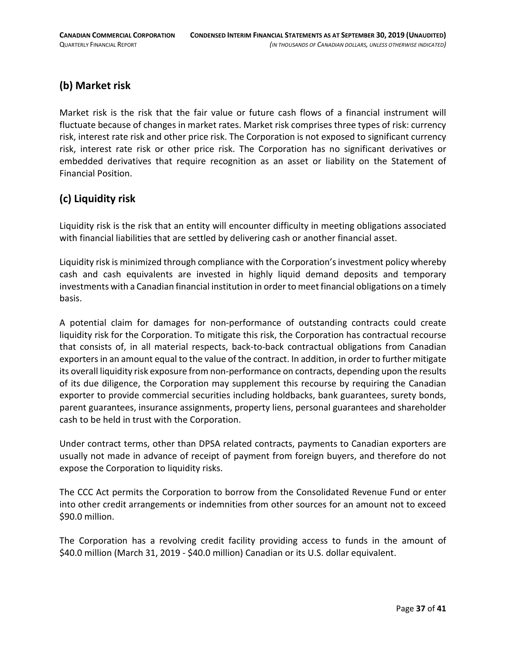# **(b) Market risk**

Market risk is the risk that the fair value or future cash flows of a financial instrument will fluctuate because of changes in market rates. Market risk comprises three types of risk: currency risk, interest rate risk and other price risk. The Corporation is not exposed to significant currency risk, interest rate risk or other price risk. The Corporation has no significant derivatives or embedded derivatives that require recognition as an asset or liability on the Statement of Financial Position.

# **(c) Liquidity risk**

Liquidity risk is the risk that an entity will encounter difficulty in meeting obligations associated with financial liabilities that are settled by delivering cash or another financial asset.

Liquidity risk is minimized through compliance with the Corporation's investment policy whereby cash and cash equivalents are invested in highly liquid demand deposits and temporary investments with a Canadian financial institution in order to meet financial obligations on a timely basis.

A potential claim for damages for non-performance of outstanding contracts could create liquidity risk for the Corporation. To mitigate this risk, the Corporation has contractual recourse that consists of, in all material respects, back-to-back contractual obligations from Canadian exporters in an amount equal to the value of the contract. In addition, in order to further mitigate its overall liquidity risk exposure from non-performance on contracts, depending upon the results of its due diligence, the Corporation may supplement this recourse by requiring the Canadian exporter to provide commercial securities including holdbacks, bank guarantees, surety bonds, parent guarantees, insurance assignments, property liens, personal guarantees and shareholder cash to be held in trust with the Corporation.

Under contract terms, other than DPSA related contracts, payments to Canadian exporters are usually not made in advance of receipt of payment from foreign buyers, and therefore do not expose the Corporation to liquidity risks.

The CCC Act permits the Corporation to borrow from the Consolidated Revenue Fund or enter into other credit arrangements or indemnities from other sources for an amount not to exceed \$90.0 million.

The Corporation has a revolving credit facility providing access to funds in the amount of \$40.0 million (March 31, 2019 - \$40.0 million) Canadian or its U.S. dollar equivalent.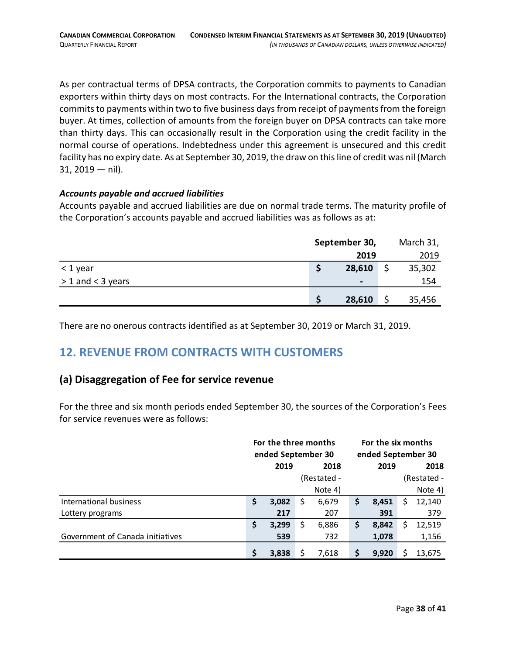As per contractual terms of DPSA contracts, the Corporation commits to payments to Canadian exporters within thirty days on most contracts. For the International contracts, the Corporation commits to payments within two to five business days from receipt of payments from the foreign buyer. At times, collection of amounts from the foreign buyer on DPSA contracts can take more than thirty days. This can occasionally result in the Corporation using the credit facility in the normal course of operations. Indebtedness under this agreement is unsecured and this credit facility has no expiry date. As at September 30, 2019, the draw on this line of credit was nil (March  $31, 2019 - nil$ .

#### *Accounts payable and accrued liabilities*

Accounts payable and accrued liabilities are due on normal trade terms. The maturity profile of the Corporation's accounts payable and accrued liabilities was as follows as at:

|                     | September 30, |                |  | March 31, |  |  |
|---------------------|---------------|----------------|--|-----------|--|--|
|                     |               | 2019           |  | 2019      |  |  |
| $<$ 1 year          | S             | 28,610         |  | 35,302    |  |  |
| $> 1$ and < 3 years |               | $\blacksquare$ |  | 154       |  |  |
|                     | S             | 28,610         |  | 35,456    |  |  |

There are no onerous contracts identified as at September 30, 2019 or March 31, 2019.

# <span id="page-37-0"></span>**12. REVENUE FROM CONTRACTS WITH CUSTOMERS**

# **(a) Disaggregation of Fee for service revenue**

For the three and six month periods ended September 30, the sources of the Corporation's Fees for service revenues were as follows:

|                                  | For the three months<br>ended September 30 |       | For the six months<br>ended September 30 |             |    |       |   |             |
|----------------------------------|--------------------------------------------|-------|------------------------------------------|-------------|----|-------|---|-------------|
|                                  |                                            | 2019  |                                          | 2018        |    | 2019  |   | 2018        |
|                                  |                                            |       |                                          | (Restated - |    |       |   | (Restated - |
|                                  |                                            |       |                                          | Note 4)     |    |       |   | Note 4)     |
| International business           | Ş                                          | 3,082 | S                                        | 6,679       | \$ | 8,451 | S | 12,140      |
| Lottery programs                 |                                            | 217   |                                          | 207         |    | 391   |   | 379         |
|                                  | \$                                         | 3,299 | S                                        | 6,886       | \$ | 8,842 | S | 12,519      |
| Government of Canada initiatives |                                            | 539   |                                          | 732         |    | 1,078 |   | 1,156       |
|                                  | S                                          | 3,838 |                                          | 7,618       | \$ | 9,920 |   | 13,675      |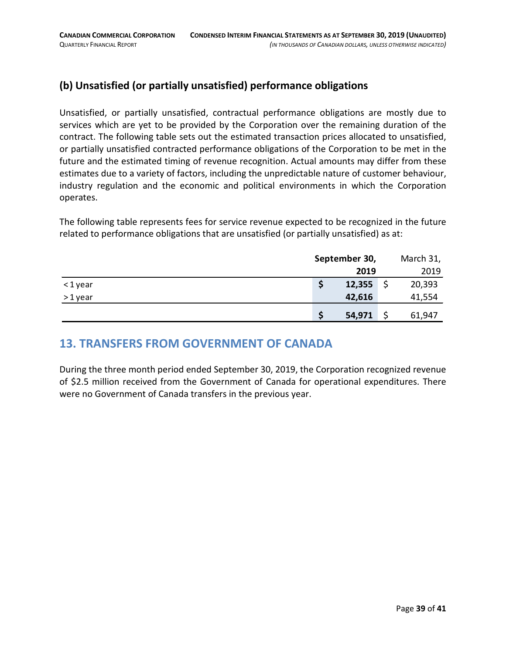# **(b) Unsatisfied (or partially unsatisfied) performance obligations**

Unsatisfied, or partially unsatisfied, contractual performance obligations are mostly due to services which are yet to be provided by the Corporation over the remaining duration of the contract. The following table sets out the estimated transaction prices allocated to unsatisfied, or partially unsatisfied contracted performance obligations of the Corporation to be met in the future and the estimated timing of revenue recognition. Actual amounts may differ from these estimates due to a variety of factors, including the unpredictable nature of customer behaviour, industry regulation and the economic and political environments in which the Corporation operates.

The following table represents fees for service revenue expected to be recognized in the future related to performance obligations that are unsatisfied (or partially unsatisfied) as at:

|        | September 30, | March 31, |  |  |
|--------|---------------|-----------|--|--|
|        | 2019          | 2019      |  |  |
| <1year | 12,355        | 20,393    |  |  |
| >1year | 42,616        | 41,554    |  |  |
|        | 54,971        | 61,947    |  |  |

# <span id="page-38-0"></span>**13. TRANSFERS FROM GOVERNMENT OF CANADA**

During the three month period ended September 30, 2019, the Corporation recognized revenue of \$2.5 million received from the Government of Canada for operational expenditures. There were no Government of Canada transfers in the previous year.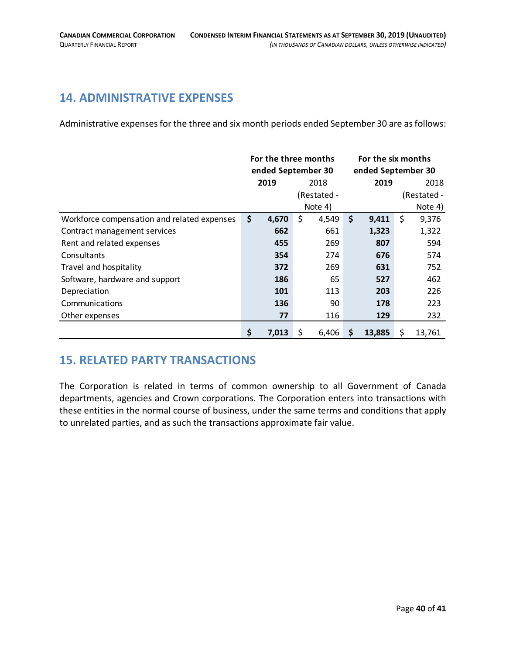# <span id="page-39-0"></span>**14. ADMINISTRATIVE EXPENSES**

Administrative expenses for the three and six month periods ended September 30 are as follows:

|                                             | For the three months |       | For the six months |                    |      |        |    |             |
|---------------------------------------------|----------------------|-------|--------------------|--------------------|------|--------|----|-------------|
|                                             | ended September 30   |       |                    | ended September 30 |      |        |    |             |
|                                             | 2019<br>2018         |       |                    | 2019               | 2018 |        |    |             |
|                                             |                      |       |                    | (Restated -        |      |        |    | (Restated - |
|                                             |                      |       |                    | Note 4)            |      |        |    | Note 4)     |
| Workforce compensation and related expenses | \$                   | 4,670 | \$                 | 4,549              | \$   | 9,411  | \$ | 9,376       |
| Contract management services                |                      | 662   |                    | 661                |      | 1,323  |    | 1,322       |
| Rent and related expenses                   |                      | 455   |                    | 269                |      | 807    |    | 594         |
| Consultants                                 |                      | 354   |                    | 274                |      | 676    |    | 574         |
| Travel and hospitality                      |                      | 372   |                    | 269                |      | 631    |    | 752         |
| Software, hardware and support              |                      | 186   |                    | 65                 |      | 527    |    | 462         |
| Depreciation                                |                      | 101   |                    | 113                |      | 203    |    | 226         |
| Communications                              |                      | 136   |                    | 90                 |      | 178    |    | 223         |
| Other expenses                              |                      | 77    |                    | 116                |      | 129    |    | 232         |
|                                             | \$                   | 7,013 | \$                 | 6,406              | \$   | 13,885 | \$ | 13,761      |

# <span id="page-39-1"></span>**15. RELATED PARTY TRANSACTIONS**

<span id="page-39-2"></span>The Corporation is related in terms of common ownership to all Government of Canada departments, agencies and Crown corporations. The Corporation enters into transactions with these entities in the normal course of business, under the same terms and conditions that apply to unrelated parties, and as such the transactions approximate fair value.